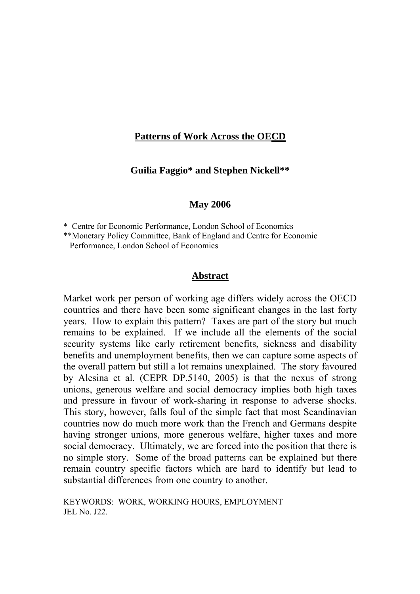## **Patterns of Work Across the OECD**

**Guilia Faggio\* and Stephen Nickell\*\*** 

### **May 2006**

\* Centre for Economic Performance, London School of Economics

\*\*Monetary Policy Committee, Bank of England and Centre for Economic Performance, London School of Economics

### **Abstract**

Market work per person of working age differs widely across the OECD countries and there have been some significant changes in the last forty years. How to explain this pattern? Taxes are part of the story but much remains to be explained. If we include all the elements of the social security systems like early retirement benefits, sickness and disability benefits and unemployment benefits, then we can capture some aspects of the overall pattern but still a lot remains unexplained. The story favoured by Alesina et al. (CEPR DP.5140, 2005) is that the nexus of strong unions, generous welfare and social democracy implies both high taxes and pressure in favour of work-sharing in response to adverse shocks. This story, however, falls foul of the simple fact that most Scandinavian countries now do much more work than the French and Germans despite having stronger unions, more generous welfare, higher taxes and more social democracy. Ultimately, we are forced into the position that there is no simple story. Some of the broad patterns can be explained but there remain country specific factors which are hard to identify but lead to substantial differences from one country to another.

KEYWORDS: WORK, WORKING HOURS, EMPLOYMENT JEL No. J22.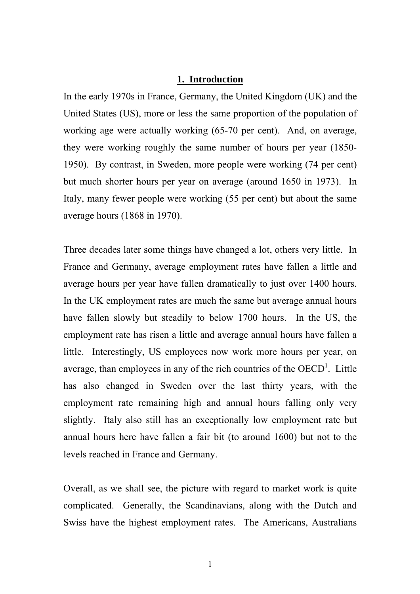### **1. Introduction**

In the early 1970s in France, Germany, the United Kingdom (UK) and the United States (US), more or less the same proportion of the population of working age were actually working (65-70 per cent). And, on average, they were working roughly the same number of hours per year (1850- 1950). By contrast, in Sweden, more people were working (74 per cent) but much shorter hours per year on average (around 1650 in 1973). In Italy, many fewer people were working (55 per cent) but about the same average hours (1868 in 1970).

Three decades later some things have changed a lot, others very little. In France and Germany, average employment rates have fallen a little and average hours per year have fallen dramatically to just over 1400 hours. In the UK employment rates are much the same but average annual hours have fallen slowly but steadily to below 1700 hours. In the US, the employment rate has risen a little and average annual hours have fallen a little. Interestingly, US employees now work more hours per year, on average, than employees in any of the rich countries of the  $OECD<sup>1</sup>$ . Little has also changed in Sweden over the last thirty years, with the employment rate remaining high and annual hours falling only very slightly. Italy also still has an exceptionally low employment rate but annual hours here have fallen a fair bit (to around 1600) but not to the levels reached in France and Germany.

Overall, as we shall see, the picture with regard to market work is quite complicated. Generally, the Scandinavians, along with the Dutch and Swiss have the highest employment rates. The Americans, Australians

1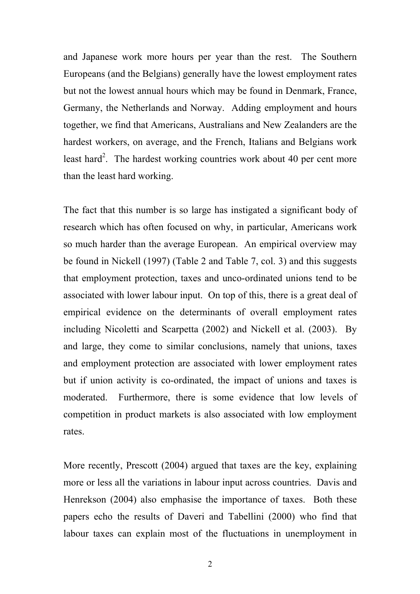and Japanese work more hours per year than the rest. The Southern Europeans (and the Belgians) generally have the lowest employment rates but not the lowest annual hours which may be found in Denmark, France, Germany, the Netherlands and Norway. Adding employment and hours together, we find that Americans, Australians and New Zealanders are the hardest workers, on average, and the French, Italians and Belgians work least hard<sup>2</sup>. The hardest working countries work about 40 per cent more than the least hard working.

The fact that this number is so large has instigated a significant body of research which has often focused on why, in particular, Americans work so much harder than the average European. An empirical overview may be found in Nickell (1997) (Table 2 and Table 7, col. 3) and this suggests that employment protection, taxes and unco-ordinated unions tend to be associated with lower labour input. On top of this, there is a great deal of empirical evidence on the determinants of overall employment rates including Nicoletti and Scarpetta (2002) and Nickell et al. (2003). By and large, they come to similar conclusions, namely that unions, taxes and employment protection are associated with lower employment rates but if union activity is co-ordinated, the impact of unions and taxes is moderated. Furthermore, there is some evidence that low levels of competition in product markets is also associated with low employment rates.

More recently, Prescott (2004) argued that taxes are the key, explaining more or less all the variations in labour input across countries. Davis and Henrekson (2004) also emphasise the importance of taxes. Both these papers echo the results of Daveri and Tabellini (2000) who find that labour taxes can explain most of the fluctuations in unemployment in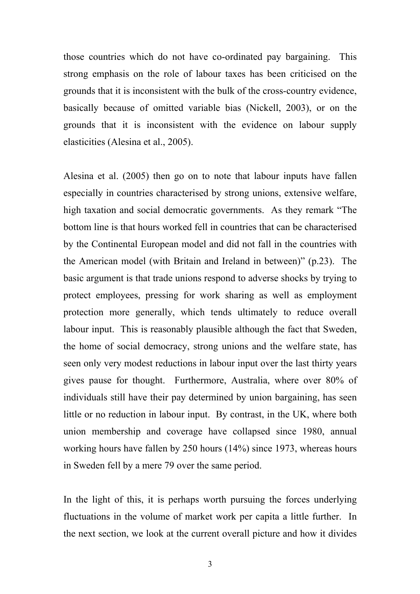those countries which do not have co-ordinated pay bargaining. This strong emphasis on the role of labour taxes has been criticised on the grounds that it is inconsistent with the bulk of the cross-country evidence, basically because of omitted variable bias (Nickell, 2003), or on the grounds that it is inconsistent with the evidence on labour supply elasticities (Alesina et al., 2005).

Alesina et al. (2005) then go on to note that labour inputs have fallen especially in countries characterised by strong unions, extensive welfare, high taxation and social democratic governments. As they remark "The bottom line is that hours worked fell in countries that can be characterised by the Continental European model and did not fall in the countries with the American model (with Britain and Ireland in between)" (p.23). The basic argument is that trade unions respond to adverse shocks by trying to protect employees, pressing for work sharing as well as employment protection more generally, which tends ultimately to reduce overall labour input. This is reasonably plausible although the fact that Sweden, the home of social democracy, strong unions and the welfare state, has seen only very modest reductions in labour input over the last thirty years gives pause for thought. Furthermore, Australia, where over 80% of individuals still have their pay determined by union bargaining, has seen little or no reduction in labour input. By contrast, in the UK, where both union membership and coverage have collapsed since 1980, annual working hours have fallen by 250 hours (14%) since 1973, whereas hours in Sweden fell by a mere 79 over the same period.

In the light of this, it is perhaps worth pursuing the forces underlying fluctuations in the volume of market work per capita a little further. In the next section, we look at the current overall picture and how it divides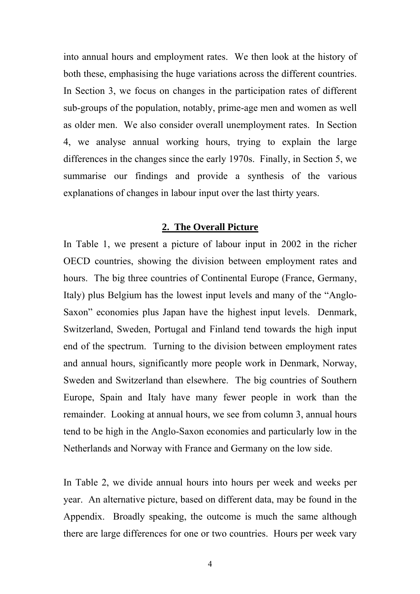into annual hours and employment rates. We then look at the history of both these, emphasising the huge variations across the different countries. In Section 3, we focus on changes in the participation rates of different sub-groups of the population, notably, prime-age men and women as well as older men. We also consider overall unemployment rates. In Section 4, we analyse annual working hours, trying to explain the large differences in the changes since the early 1970s. Finally, in Section 5, we summarise our findings and provide a synthesis of the various explanations of changes in labour input over the last thirty years.

## **2. The Overall Picture**

In Table 1, we present a picture of labour input in 2002 in the richer OECD countries, showing the division between employment rates and hours. The big three countries of Continental Europe (France, Germany, Italy) plus Belgium has the lowest input levels and many of the "Anglo-Saxon" economies plus Japan have the highest input levels. Denmark, Switzerland, Sweden, Portugal and Finland tend towards the high input end of the spectrum. Turning to the division between employment rates and annual hours, significantly more people work in Denmark, Norway, Sweden and Switzerland than elsewhere. The big countries of Southern Europe, Spain and Italy have many fewer people in work than the remainder. Looking at annual hours, we see from column 3, annual hours tend to be high in the Anglo-Saxon economies and particularly low in the Netherlands and Norway with France and Germany on the low side.

In Table 2, we divide annual hours into hours per week and weeks per year. An alternative picture, based on different data, may be found in the Appendix. Broadly speaking, the outcome is much the same although there are large differences for one or two countries. Hours per week vary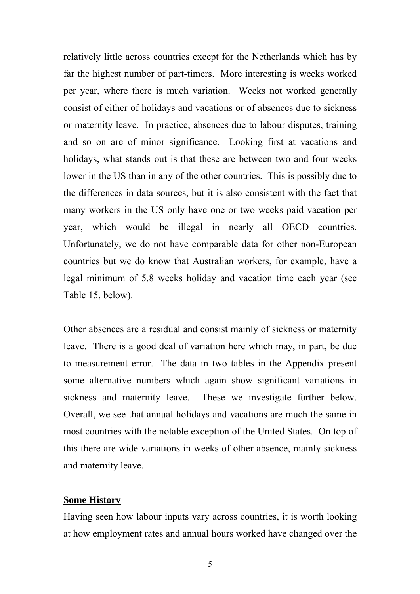relatively little across countries except for the Netherlands which has by far the highest number of part-timers. More interesting is weeks worked per year, where there is much variation. Weeks not worked generally consist of either of holidays and vacations or of absences due to sickness or maternity leave. In practice, absences due to labour disputes, training and so on are of minor significance. Looking first at vacations and holidays, what stands out is that these are between two and four weeks lower in the US than in any of the other countries. This is possibly due to the differences in data sources, but it is also consistent with the fact that many workers in the US only have one or two weeks paid vacation per year, which would be illegal in nearly all OECD countries. Unfortunately, we do not have comparable data for other non-European countries but we do know that Australian workers, for example, have a legal minimum of 5.8 weeks holiday and vacation time each year (see Table 15, below).

Other absences are a residual and consist mainly of sickness or maternity leave. There is a good deal of variation here which may, in part, be due to measurement error. The data in two tables in the Appendix present some alternative numbers which again show significant variations in sickness and maternity leave. These we investigate further below. Overall, we see that annual holidays and vacations are much the same in most countries with the notable exception of the United States. On top of this there are wide variations in weeks of other absence, mainly sickness and maternity leave.

### **Some History**

Having seen how labour inputs vary across countries, it is worth looking at how employment rates and annual hours worked have changed over the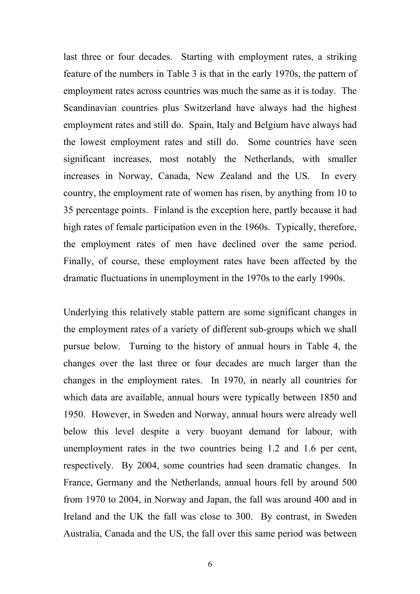last three or four decades. Starting with employment rates, a striking feature of the numbers in Table 3 is that in the early 1970s, the pattern of employment rates across countries was much the same as it is today. The Scandinavian countries plus Switzerland have always had the highest employment rates and still do. Spain, Italy and Belgium have always had the lowest employment rates and still do. Some countries have seen significant increases, most notably the Netherlands, with smaller increases in Norway, Canada, New Zealand and the US. In every country, the employment rate of women has risen, by anything from 10 to 35 percentage points. Finland is the exception here, partly because it had high rates of female participation even in the 1960s. Typically, therefore, the employment rates of men have declined over the same period. Finally, of course, these employment rates have been affected by the dramatic fluctuations in unemployment in the 1970s to the early 1990s.

Underlying this relatively stable pattern are some significant changes in the employment rates of a variety of different sub-groups which we shall pursue below. Turning to the history of annual hours in Table 4, the changes over the last three or four decades are much larger than the changes in the employment rates. In 1970, in nearly all countries for which data are available, annual hours were typically between 1850 and 1950. However, in Sweden and Norway, annual hours were already well below this level despite a very buoyant demand for labour, with unemployment rates in the two countries being 1.2 and 1.6 per cent, respectively. By 2004, some countries had seen dramatic changes. In France, Germany and the Netherlands, annual hours fell by around 500 from 1970 to 2004, in Norway and Japan, the fall was around 400 and in Ireland and the UK the fall was close to 300. By contrast, in Sweden Australia, Canada and the US, the fall over this same period was between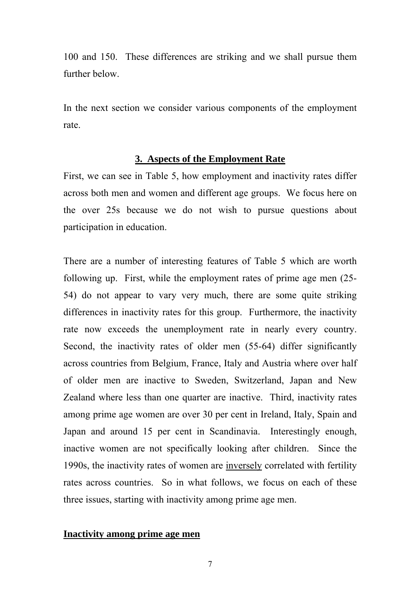100 and 150. These differences are striking and we shall pursue them further below.

In the next section we consider various components of the employment rate.

## **3. Aspects of the Employment Rate**

First, we can see in Table 5, how employment and inactivity rates differ across both men and women and different age groups. We focus here on the over 25s because we do not wish to pursue questions about participation in education.

There are a number of interesting features of Table 5 which are worth following up. First, while the employment rates of prime age men (25- 54) do not appear to vary very much, there are some quite striking differences in inactivity rates for this group. Furthermore, the inactivity rate now exceeds the unemployment rate in nearly every country. Second, the inactivity rates of older men (55-64) differ significantly across countries from Belgium, France, Italy and Austria where over half of older men are inactive to Sweden, Switzerland, Japan and New Zealand where less than one quarter are inactive. Third, inactivity rates among prime age women are over 30 per cent in Ireland, Italy, Spain and Japan and around 15 per cent in Scandinavia. Interestingly enough, inactive women are not specifically looking after children. Since the 1990s, the inactivity rates of women are inversely correlated with fertility rates across countries. So in what follows, we focus on each of these three issues, starting with inactivity among prime age men.

## **Inactivity among prime age men**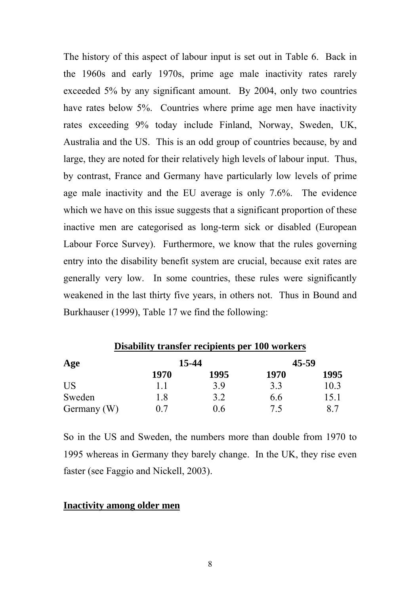The history of this aspect of labour input is set out in Table 6. Back in the 1960s and early 1970s, prime age male inactivity rates rarely exceeded 5% by any significant amount. By 2004, only two countries have rates below 5%. Countries where prime age men have inactivity rates exceeding 9% today include Finland, Norway, Sweden, UK, Australia and the US. This is an odd group of countries because, by and large, they are noted for their relatively high levels of labour input. Thus, by contrast, France and Germany have particularly low levels of prime age male inactivity and the EU average is only 7.6%. The evidence which we have on this issue suggests that a significant proportion of these inactive men are categorised as long-term sick or disabled (European Labour Force Survey). Furthermore, we know that the rules governing entry into the disability benefit system are crucial, because exit rates are generally very low. In some countries, these rules were significantly weakened in the last thirty five years, in others not. Thus in Bound and Burkhauser (1999), Table 17 we find the following:

| Disability transfer recipients per 100 workers |      |       |       |      |  |  |  |  |  |
|------------------------------------------------|------|-------|-------|------|--|--|--|--|--|
| Age                                            |      | 15-44 | 45-59 |      |  |  |  |  |  |
|                                                | 1970 | 1995  | 1970  | 1995 |  |  |  |  |  |
| US                                             | 11   | 3.9   | 33    | 10.3 |  |  |  |  |  |
| Sweden                                         | 1.8  | 3.2   | 6.6   | 15.1 |  |  |  |  |  |
| Germany (W)                                    | () 7 | 0.6   | 75    |      |  |  |  |  |  |

So in the US and Sweden, the numbers more than double from 1970 to 1995 whereas in Germany they barely change. In the UK, they rise even faster (see Faggio and Nickell, 2003).

## **Inactivity among older men**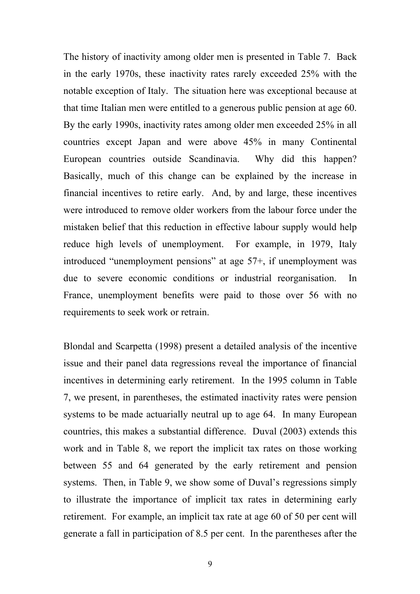The history of inactivity among older men is presented in Table 7. Back in the early 1970s, these inactivity rates rarely exceeded 25% with the notable exception of Italy. The situation here was exceptional because at that time Italian men were entitled to a generous public pension at age 60. By the early 1990s, inactivity rates among older men exceeded 25% in all countries except Japan and were above 45% in many Continental European countries outside Scandinavia. Why did this happen? Basically, much of this change can be explained by the increase in financial incentives to retire early. And, by and large, these incentives were introduced to remove older workers from the labour force under the mistaken belief that this reduction in effective labour supply would help reduce high levels of unemployment. For example, in 1979, Italy introduced "unemployment pensions" at age 57+, if unemployment was due to severe economic conditions or industrial reorganisation. In France, unemployment benefits were paid to those over 56 with no requirements to seek work or retrain.

Blondal and Scarpetta (1998) present a detailed analysis of the incentive issue and their panel data regressions reveal the importance of financial incentives in determining early retirement. In the 1995 column in Table 7, we present, in parentheses, the estimated inactivity rates were pension systems to be made actuarially neutral up to age 64. In many European countries, this makes a substantial difference. Duval (2003) extends this work and in Table 8, we report the implicit tax rates on those working between 55 and 64 generated by the early retirement and pension systems. Then, in Table 9, we show some of Duval's regressions simply to illustrate the importance of implicit tax rates in determining early retirement. For example, an implicit tax rate at age 60 of 50 per cent will generate a fall in participation of 8.5 per cent. In the parentheses after the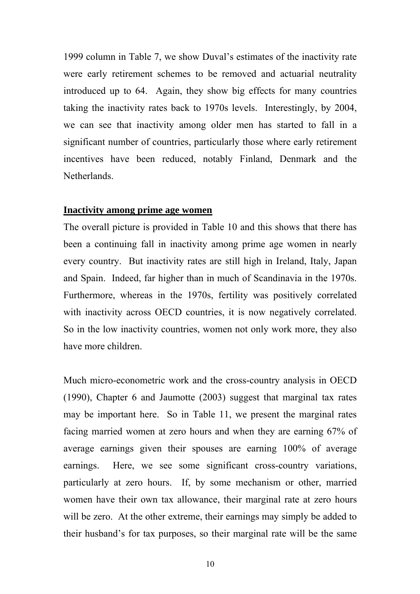1999 column in Table 7, we show Duval's estimates of the inactivity rate were early retirement schemes to be removed and actuarial neutrality introduced up to 64. Again, they show big effects for many countries taking the inactivity rates back to 1970s levels. Interestingly, by 2004, we can see that inactivity among older men has started to fall in a significant number of countries, particularly those where early retirement incentives have been reduced, notably Finland, Denmark and the Netherlands.

### **Inactivity among prime age women**

The overall picture is provided in Table 10 and this shows that there has been a continuing fall in inactivity among prime age women in nearly every country. But inactivity rates are still high in Ireland, Italy, Japan and Spain. Indeed, far higher than in much of Scandinavia in the 1970s. Furthermore, whereas in the 1970s, fertility was positively correlated with inactivity across OECD countries, it is now negatively correlated. So in the low inactivity countries, women not only work more, they also have more children.

Much micro-econometric work and the cross-country analysis in OECD (1990), Chapter 6 and Jaumotte (2003) suggest that marginal tax rates may be important here. So in Table 11, we present the marginal rates facing married women at zero hours and when they are earning 67% of average earnings given their spouses are earning 100% of average earnings. Here, we see some significant cross-country variations, particularly at zero hours. If, by some mechanism or other, married women have their own tax allowance, their marginal rate at zero hours will be zero. At the other extreme, their earnings may simply be added to their husband's for tax purposes, so their marginal rate will be the same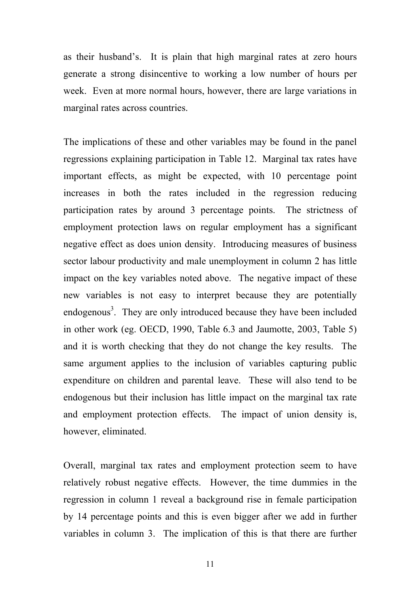as their husband's. It is plain that high marginal rates at zero hours generate a strong disincentive to working a low number of hours per week. Even at more normal hours, however, there are large variations in marginal rates across countries.

The implications of these and other variables may be found in the panel regressions explaining participation in Table 12. Marginal tax rates have important effects, as might be expected, with 10 percentage point increases in both the rates included in the regression reducing participation rates by around 3 percentage points. The strictness of employment protection laws on regular employment has a significant negative effect as does union density. Introducing measures of business sector labour productivity and male unemployment in column 2 has little impact on the key variables noted above. The negative impact of these new variables is not easy to interpret because they are potentially endogenous<sup>3</sup>. They are only introduced because they have been included in other work (eg. OECD, 1990, Table 6.3 and Jaumotte, 2003, Table 5) and it is worth checking that they do not change the key results. The same argument applies to the inclusion of variables capturing public expenditure on children and parental leave. These will also tend to be endogenous but their inclusion has little impact on the marginal tax rate and employment protection effects. The impact of union density is, however, eliminated.

Overall, marginal tax rates and employment protection seem to have relatively robust negative effects. However, the time dummies in the regression in column 1 reveal a background rise in female participation by 14 percentage points and this is even bigger after we add in further variables in column 3. The implication of this is that there are further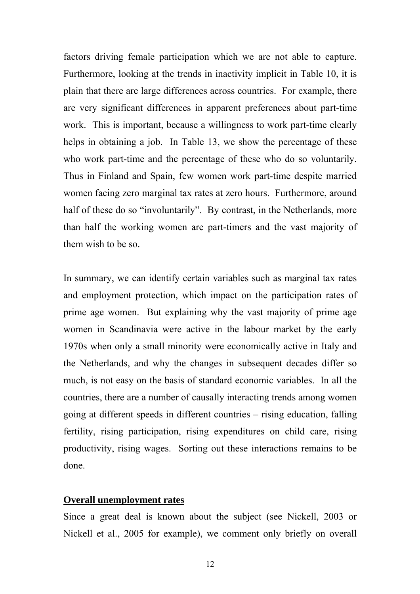factors driving female participation which we are not able to capture. Furthermore, looking at the trends in inactivity implicit in Table 10, it is plain that there are large differences across countries. For example, there are very significant differences in apparent preferences about part-time work. This is important, because a willingness to work part-time clearly helps in obtaining a job. In Table 13, we show the percentage of these who work part-time and the percentage of these who do so voluntarily. Thus in Finland and Spain, few women work part-time despite married women facing zero marginal tax rates at zero hours. Furthermore, around half of these do so "involuntarily". By contrast, in the Netherlands, more than half the working women are part-timers and the vast majority of them wish to be so.

In summary, we can identify certain variables such as marginal tax rates and employment protection, which impact on the participation rates of prime age women. But explaining why the vast majority of prime age women in Scandinavia were active in the labour market by the early 1970s when only a small minority were economically active in Italy and the Netherlands, and why the changes in subsequent decades differ so much, is not easy on the basis of standard economic variables. In all the countries, there are a number of causally interacting trends among women going at different speeds in different countries – rising education, falling fertility, rising participation, rising expenditures on child care, rising productivity, rising wages. Sorting out these interactions remains to be done.

### **Overall unemployment rates**

Since a great deal is known about the subject (see Nickell, 2003 or Nickell et al., 2005 for example), we comment only briefly on overall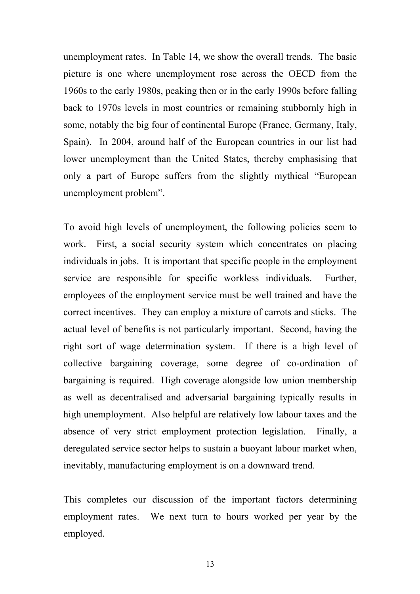unemployment rates. In Table 14, we show the overall trends. The basic picture is one where unemployment rose across the OECD from the 1960s to the early 1980s, peaking then or in the early 1990s before falling back to 1970s levels in most countries or remaining stubbornly high in some, notably the big four of continental Europe (France, Germany, Italy, Spain). In 2004, around half of the European countries in our list had lower unemployment than the United States, thereby emphasising that only a part of Europe suffers from the slightly mythical "European unemployment problem".

To avoid high levels of unemployment, the following policies seem to work. First, a social security system which concentrates on placing individuals in jobs. It is important that specific people in the employment service are responsible for specific workless individuals. Further, employees of the employment service must be well trained and have the correct incentives. They can employ a mixture of carrots and sticks. The actual level of benefits is not particularly important. Second, having the right sort of wage determination system. If there is a high level of collective bargaining coverage, some degree of co-ordination of bargaining is required. High coverage alongside low union membership as well as decentralised and adversarial bargaining typically results in high unemployment. Also helpful are relatively low labour taxes and the absence of very strict employment protection legislation. Finally, a deregulated service sector helps to sustain a buoyant labour market when, inevitably, manufacturing employment is on a downward trend.

This completes our discussion of the important factors determining employment rates. We next turn to hours worked per year by the employed.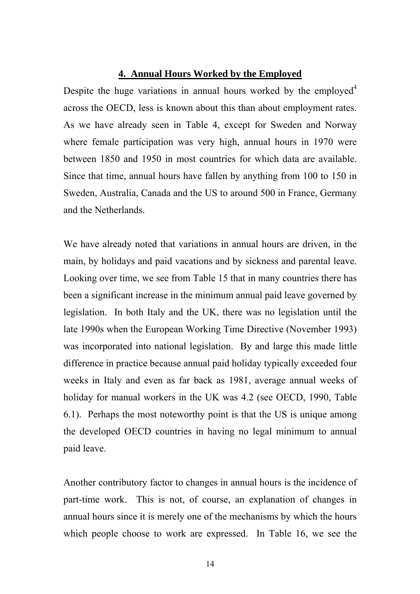### **4. Annual Hours Worked by the Employed**

Despite the huge variations in annual hours worked by the employed<sup>4</sup> across the OECD, less is known about this than about employment rates. As we have already seen in Table 4, except for Sweden and Norway where female participation was very high, annual hours in 1970 were between 1850 and 1950 in most countries for which data are available. Since that time, annual hours have fallen by anything from 100 to 150 in Sweden, Australia, Canada and the US to around 500 in France, Germany and the Netherlands.

We have already noted that variations in annual hours are driven, in the main, by holidays and paid vacations and by sickness and parental leave. Looking over time, we see from Table 15 that in many countries there has been a significant increase in the minimum annual paid leave governed by legislation. In both Italy and the UK, there was no legislation until the late 1990s when the European Working Time Directive (November 1993) was incorporated into national legislation. By and large this made little difference in practice because annual paid holiday typically exceeded four weeks in Italy and even as far back as 1981, average annual weeks of holiday for manual workers in the UK was 4.2 (see OECD, 1990, Table 6.1). Perhaps the most noteworthy point is that the US is unique among the developed OECD countries in having no legal minimum to annual paid leave.

Another contributory factor to changes in annual hours is the incidence of part-time work. This is not, of course, an explanation of changes in annual hours since it is merely one of the mechanisms by which the hours which people choose to work are expressed. In Table 16, we see the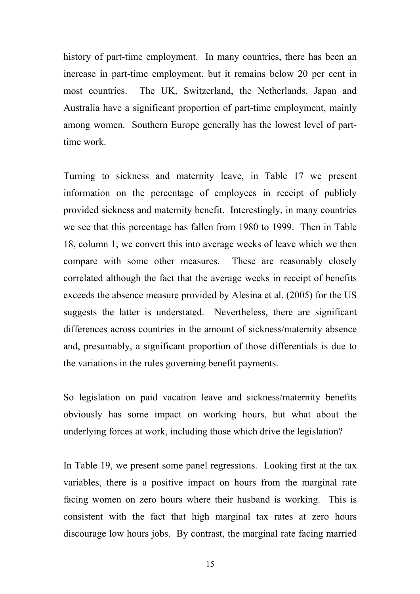history of part-time employment. In many countries, there has been an increase in part-time employment, but it remains below 20 per cent in most countries. The UK, Switzerland, the Netherlands, Japan and Australia have a significant proportion of part-time employment, mainly among women. Southern Europe generally has the lowest level of parttime work.

Turning to sickness and maternity leave, in Table 17 we present information on the percentage of employees in receipt of publicly provided sickness and maternity benefit. Interestingly, in many countries we see that this percentage has fallen from 1980 to 1999. Then in Table 18, column 1, we convert this into average weeks of leave which we then compare with some other measures. These are reasonably closely correlated although the fact that the average weeks in receipt of benefits exceeds the absence measure provided by Alesina et al. (2005) for the US suggests the latter is understated. Nevertheless, there are significant differences across countries in the amount of sickness/maternity absence and, presumably, a significant proportion of those differentials is due to the variations in the rules governing benefit payments.

So legislation on paid vacation leave and sickness/maternity benefits obviously has some impact on working hours, but what about the underlying forces at work, including those which drive the legislation?

In Table 19, we present some panel regressions. Looking first at the tax variables, there is a positive impact on hours from the marginal rate facing women on zero hours where their husband is working. This is consistent with the fact that high marginal tax rates at zero hours discourage low hours jobs. By contrast, the marginal rate facing married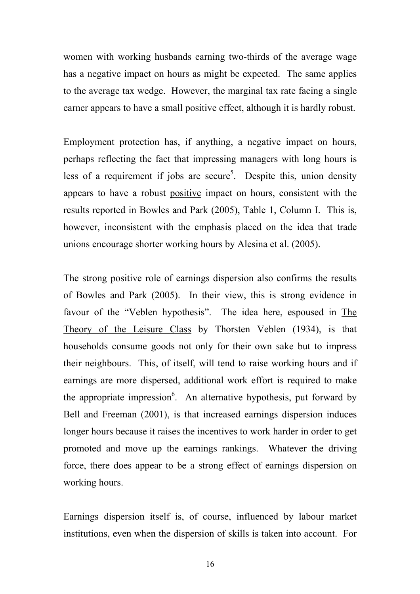women with working husbands earning two-thirds of the average wage has a negative impact on hours as might be expected. The same applies to the average tax wedge. However, the marginal tax rate facing a single earner appears to have a small positive effect, although it is hardly robust.

Employment protection has, if anything, a negative impact on hours, perhaps reflecting the fact that impressing managers with long hours is less of a requirement if jobs are secure<sup>5</sup>. Despite this, union density appears to have a robust positive impact on hours, consistent with the results reported in Bowles and Park (2005), Table 1, Column I. This is, however, inconsistent with the emphasis placed on the idea that trade unions encourage shorter working hours by Alesina et al. (2005).

The strong positive role of earnings dispersion also confirms the results of Bowles and Park (2005). In their view, this is strong evidence in favour of the "Veblen hypothesis". The idea here, espoused in The Theory of the Leisure Class by Thorsten Veblen (1934), is that households consume goods not only for their own sake but to impress their neighbours. This, of itself, will tend to raise working hours and if earnings are more dispersed, additional work effort is required to make the appropriate impression<sup>6</sup>. An alternative hypothesis, put forward by Bell and Freeman (2001), is that increased earnings dispersion induces longer hours because it raises the incentives to work harder in order to get promoted and move up the earnings rankings. Whatever the driving force, there does appear to be a strong effect of earnings dispersion on working hours.

Earnings dispersion itself is, of course, influenced by labour market institutions, even when the dispersion of skills is taken into account. For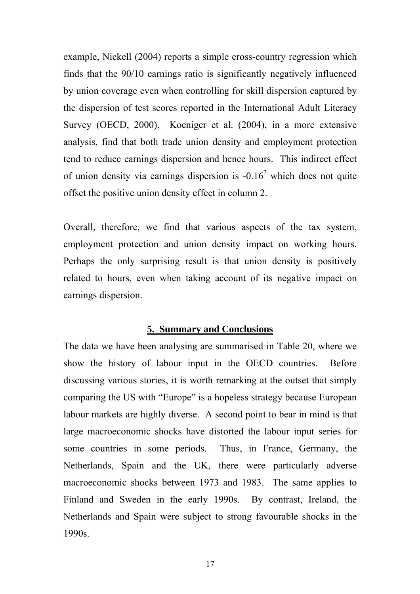example, Nickell (2004) reports a simple cross-country regression which finds that the 90/10 earnings ratio is significantly negatively influenced by union coverage even when controlling for skill dispersion captured by the dispersion of test scores reported in the International Adult Literacy Survey (OECD, 2000). Koeniger et al. (2004), in a more extensive analysis, find that both trade union density and employment protection tend to reduce earnings dispersion and hence hours. This indirect effect of union density via earnings dispersion is  $-0.16<sup>7</sup>$  which does not quite offset the positive union density effect in column 2.

Overall, therefore, we find that various aspects of the tax system, employment protection and union density impact on working hours. Perhaps the only surprising result is that union density is positively related to hours, even when taking account of its negative impact on earnings dispersion.

### **5. Summary and Conclusions**

The data we have been analysing are summarised in Table 20, where we show the history of labour input in the OECD countries. Before discussing various stories, it is worth remarking at the outset that simply comparing the US with "Europe" is a hopeless strategy because European labour markets are highly diverse. A second point to bear in mind is that large macroeconomic shocks have distorted the labour input series for some countries in some periods. Thus, in France, Germany, the Netherlands, Spain and the UK, there were particularly adverse macroeconomic shocks between 1973 and 1983. The same applies to Finland and Sweden in the early 1990s. By contrast, Ireland, the Netherlands and Spain were subject to strong favourable shocks in the 1990s.

17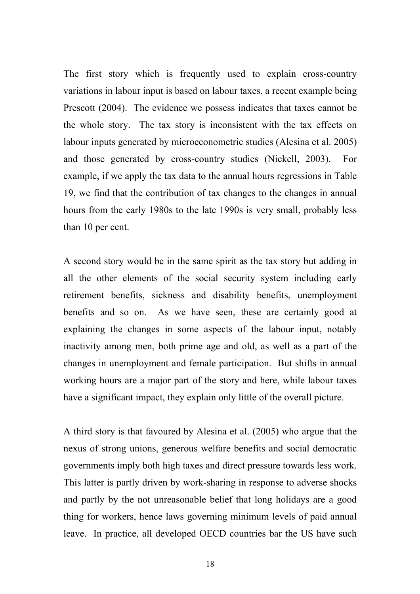The first story which is frequently used to explain cross-country variations in labour input is based on labour taxes, a recent example being Prescott (2004). The evidence we possess indicates that taxes cannot be the whole story. The tax story is inconsistent with the tax effects on labour inputs generated by microeconometric studies (Alesina et al. 2005) and those generated by cross-country studies (Nickell, 2003). For example, if we apply the tax data to the annual hours regressions in Table 19, we find that the contribution of tax changes to the changes in annual hours from the early 1980s to the late 1990s is very small, probably less than 10 per cent.

A second story would be in the same spirit as the tax story but adding in all the other elements of the social security system including early retirement benefits, sickness and disability benefits, unemployment benefits and so on. As we have seen, these are certainly good at explaining the changes in some aspects of the labour input, notably inactivity among men, both prime age and old, as well as a part of the changes in unemployment and female participation. But shifts in annual working hours are a major part of the story and here, while labour taxes have a significant impact, they explain only little of the overall picture.

A third story is that favoured by Alesina et al. (2005) who argue that the nexus of strong unions, generous welfare benefits and social democratic governments imply both high taxes and direct pressure towards less work. This latter is partly driven by work-sharing in response to adverse shocks and partly by the not unreasonable belief that long holidays are a good thing for workers, hence laws governing minimum levels of paid annual leave. In practice, all developed OECD countries bar the US have such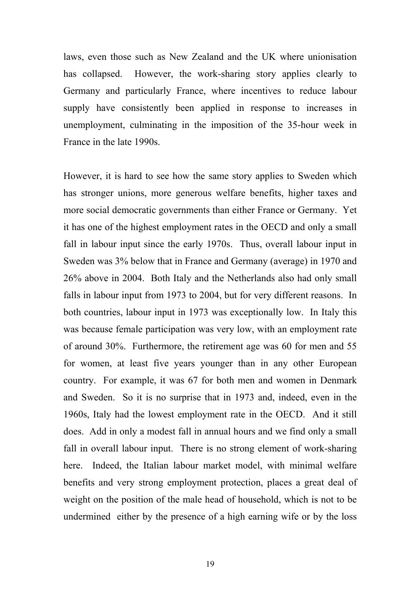laws, even those such as New Zealand and the UK where unionisation has collapsed. However, the work-sharing story applies clearly to Germany and particularly France, where incentives to reduce labour supply have consistently been applied in response to increases in unemployment, culminating in the imposition of the 35-hour week in France in the late 1990s.

However, it is hard to see how the same story applies to Sweden which has stronger unions, more generous welfare benefits, higher taxes and more social democratic governments than either France or Germany. Yet it has one of the highest employment rates in the OECD and only a small fall in labour input since the early 1970s. Thus, overall labour input in Sweden was 3% below that in France and Germany (average) in 1970 and 26% above in 2004. Both Italy and the Netherlands also had only small falls in labour input from 1973 to 2004, but for very different reasons. In both countries, labour input in 1973 was exceptionally low. In Italy this was because female participation was very low, with an employment rate of around 30%. Furthermore, the retirement age was 60 for men and 55 for women, at least five years younger than in any other European country. For example, it was 67 for both men and women in Denmark and Sweden. So it is no surprise that in 1973 and, indeed, even in the 1960s, Italy had the lowest employment rate in the OECD. And it still does. Add in only a modest fall in annual hours and we find only a small fall in overall labour input. There is no strong element of work-sharing here. Indeed, the Italian labour market model, with minimal welfare benefits and very strong employment protection, places a great deal of weight on the position of the male head of household, which is not to be undermined either by the presence of a high earning wife or by the loss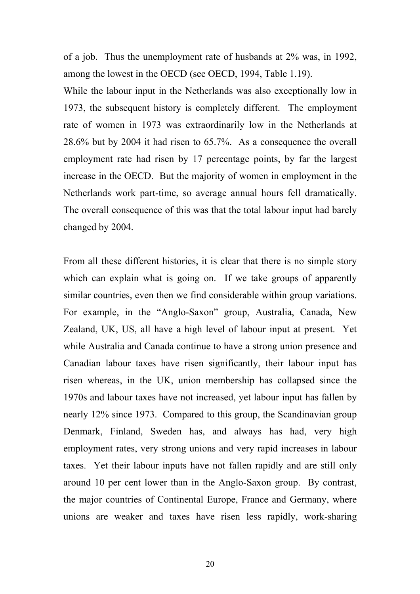of a job. Thus the unemployment rate of husbands at 2% was, in 1992, among the lowest in the OECD (see OECD, 1994, Table 1.19).

While the labour input in the Netherlands was also exceptionally low in 1973, the subsequent history is completely different. The employment rate of women in 1973 was extraordinarily low in the Netherlands at 28.6% but by 2004 it had risen to 65.7%. As a consequence the overall employment rate had risen by 17 percentage points, by far the largest increase in the OECD. But the majority of women in employment in the Netherlands work part-time, so average annual hours fell dramatically. The overall consequence of this was that the total labour input had barely changed by 2004.

From all these different histories, it is clear that there is no simple story which can explain what is going on. If we take groups of apparently similar countries, even then we find considerable within group variations. For example, in the "Anglo-Saxon" group, Australia, Canada, New Zealand, UK, US, all have a high level of labour input at present. Yet while Australia and Canada continue to have a strong union presence and Canadian labour taxes have risen significantly, their labour input has risen whereas, in the UK, union membership has collapsed since the 1970s and labour taxes have not increased, yet labour input has fallen by nearly 12% since 1973. Compared to this group, the Scandinavian group Denmark, Finland, Sweden has, and always has had, very high employment rates, very strong unions and very rapid increases in labour taxes. Yet their labour inputs have not fallen rapidly and are still only around 10 per cent lower than in the Anglo-Saxon group. By contrast, the major countries of Continental Europe, France and Germany, where unions are weaker and taxes have risen less rapidly, work-sharing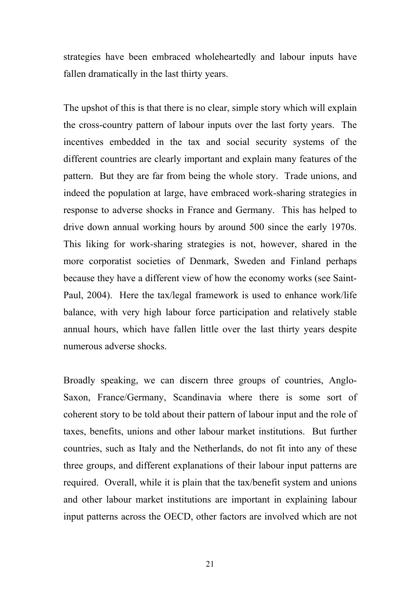strategies have been embraced wholeheartedly and labour inputs have fallen dramatically in the last thirty years.

The upshot of this is that there is no clear, simple story which will explain the cross-country pattern of labour inputs over the last forty years. The incentives embedded in the tax and social security systems of the different countries are clearly important and explain many features of the pattern. But they are far from being the whole story. Trade unions, and indeed the population at large, have embraced work-sharing strategies in response to adverse shocks in France and Germany. This has helped to drive down annual working hours by around 500 since the early 1970s. This liking for work-sharing strategies is not, however, shared in the more corporatist societies of Denmark, Sweden and Finland perhaps because they have a different view of how the economy works (see Saint-Paul, 2004). Here the tax/legal framework is used to enhance work/life balance, with very high labour force participation and relatively stable annual hours, which have fallen little over the last thirty years despite numerous adverse shocks.

Broadly speaking, we can discern three groups of countries, Anglo-Saxon, France/Germany, Scandinavia where there is some sort of coherent story to be told about their pattern of labour input and the role of taxes, benefits, unions and other labour market institutions. But further countries, such as Italy and the Netherlands, do not fit into any of these three groups, and different explanations of their labour input patterns are required. Overall, while it is plain that the tax/benefit system and unions and other labour market institutions are important in explaining labour input patterns across the OECD, other factors are involved which are not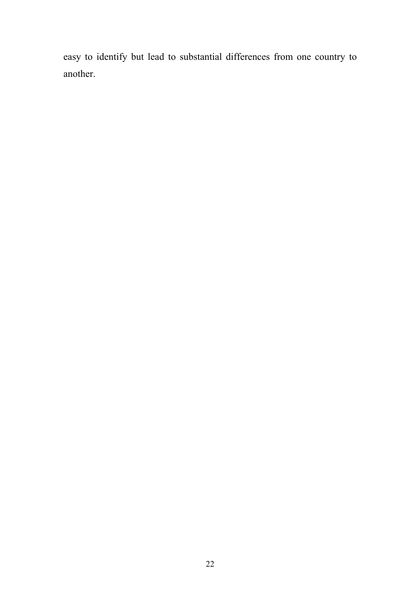easy to identify but lead to substantial differences from one country to another.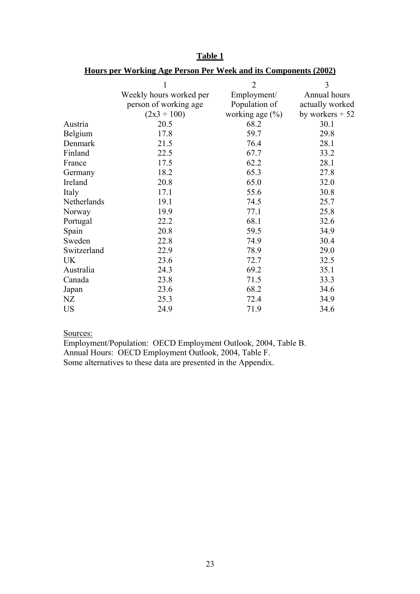|             | 1                       | $\overline{2}$      | 3                    |
|-------------|-------------------------|---------------------|----------------------|
|             | Weekly hours worked per | Employment/         | Annual hours         |
|             | person of working age   | Population of       | actually worked      |
|             | $(2x3 \div 100)$        | working age $(\% )$ | by workers $\div$ 52 |
| Austria     | 20.5                    | 68.2                | 30.1                 |
| Belgium     | 17.8                    | 59.7                | 29.8                 |
| Denmark     | 21.5                    | 76.4                | 28.1                 |
| Finland     | 22.5                    | 67.7                | 33.2                 |
| France      | 17.5                    | 62.2                | 28.1                 |
| Germany     | 18.2                    | 65.3                | 27.8                 |
| Ireland     | 20.8                    | 65.0                | 32.0                 |
| Italy       | 17.1                    | 55.6                | 30.8                 |
| Netherlands | 19.1                    | 74.5                | 25.7                 |
| Norway      | 19.9                    | 77.1                | 25.8                 |
| Portugal    | 22.2                    | 68.1                | 32.6                 |
| Spain       | 20.8                    | 59.5                | 34.9                 |
| Sweden      | 22.8                    | 74.9                | 30.4                 |
| Switzerland | 22.9                    | 78.9                | 29.0                 |
| UK          | 23.6                    | 72.7                | 32.5                 |
| Australia   | 24.3                    | 69.2                | 35.1                 |
| Canada      | 23.8                    | 71.5                | 33.3                 |
| Japan       | 23.6                    | 68.2                | 34.6                 |
| NΖ          | 25.3                    | 72.4                | 34.9                 |
| US          | 24.9                    | 71.9                | 34.6                 |

**Table 1**

# **Hours per Working Age Person Per Week and its Components (2002)**

### Sources:

Employment/Population: OECD Employment Outlook, 2004, Table B. Annual Hours: OECD Employment Outlook, 2004, Table F. Some alternatives to these data are presented in the Appendix.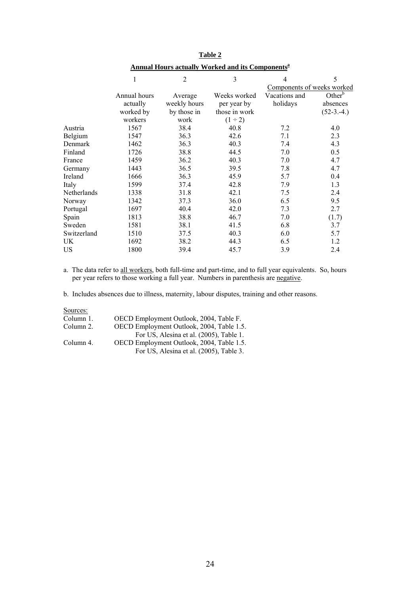|             | 1            | $\overline{2}$ | 3             | $\overline{4}$             | 5                  |
|-------------|--------------|----------------|---------------|----------------------------|--------------------|
|             |              |                |               | Components of weeks worked |                    |
|             | Annual hours | Average        | Weeks worked  | Vacations and              | Other <sup>b</sup> |
|             | actually     | weekly hours   | per year by   | holidays                   | absences           |
|             | worked by    | by those in    | those in work |                            | $(52-3.-4.)$       |
|             | workers      | work           | $(1 \div 2)$  |                            |                    |
| Austria     | 1567         | 38.4           | 40.8          | 7.2                        | 4.0                |
| Belgium     | 1547         | 36.3           | 42.6          | 7.1                        | 2.3                |
| Denmark     | 1462         | 36.3           | 40.3          | 7.4                        | 4.3                |
| Finland     | 1726         | 38.8           | 44.5          | 7.0                        | 0.5                |
| France      | 1459         | 36.2           | 40.3          | 7.0                        | 4.7                |
| Germany     | 1443         | 36.5           | 39.5          | 7.8                        | 4.7                |
| Ireland     | 1666         | 36.3           | 45.9          | 5.7                        | 0.4                |
| Italy       | 1599         | 37.4           | 42.8          | 7.9                        | 1.3                |
| Netherlands | 1338         | 31.8           | 42.1          | 7.5                        | 2.4                |
| Norway      | 1342         | 37.3           | 36.0          | 6.5                        | 9.5                |
| Portugal    | 1697         | 40.4           | 42.0          | 7.3                        | 2.7                |
| Spain       | 1813         | 38.8           | 46.7          | 7.0                        | (1.7)              |
| Sweden      | 1581         | 38.1           | 41.5          | 6.8                        | 3.7                |
| Switzerland | 1510         | 37.5           | 40.3          | 6.0                        | 5.7                |
| UK          | 1692         | 38.2           | 44.3          | 6.5                        | 1.2                |
| <b>US</b>   | 1800         | 39.4           | 45.7          | 3.9                        | 2.4                |
|             |              |                |               |                            |                    |

**Table 2 Annual Hours actually Worked and its Componentsa**

a. The data refer to all workers, both full-time and part-time, and to full year equivalents. So, hours per year refers to those working a full year. Numbers in parenthesis are negative.

b. Includes absences due to illness, maternity, labour disputes, training and other reasons.

Sources:

| OECD Employment Outlook, 2004, Table F.   |
|-------------------------------------------|
| OECD Employment Outlook, 2004, Table 1.5. |
| For US, Alesina et al. (2005), Table 1.   |
| OECD Employment Outlook, 2004, Table 1.5. |
| For US, Alesina et al. (2005), Table 3.   |
|                                           |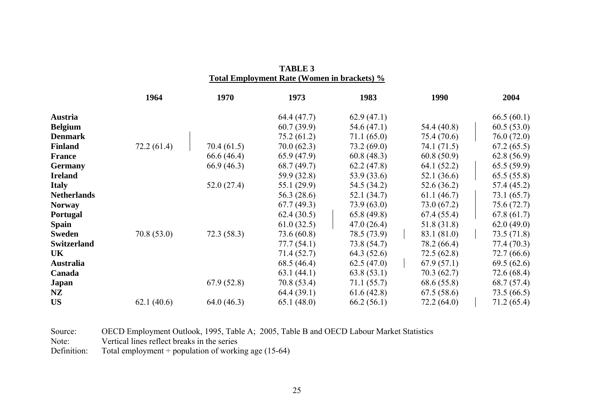|                    | 1964       | 1970       | 1973          | 1983        | 1990        | 2004        |
|--------------------|------------|------------|---------------|-------------|-------------|-------------|
| Austria            |            |            | 64.4(47.7)    | 62.9(47.1)  |             | 66.5(60.1)  |
| <b>Belgium</b>     |            |            | 60.7(39.9)    | 54.6 (47.1) | 54.4 (40.8) | 60.5(53.0)  |
| <b>Denmark</b>     |            |            | 75.2(61.2)    | 71.1(65.0)  | 75.4 (70.6) | 76.0(72.0)  |
| <b>Finland</b>     | 72.2(61.4) | 70.4(61.5) | 70.0(62.3)    | 73.2(69.0)  | 74.1 (71.5) | 67.2(65.5)  |
| <b>France</b>      |            | 66.6(46.4) | 65.9(47.9)    | 60.8(48.3)  | 60.8(50.9)  | 62.8(56.9)  |
| <b>Germany</b>     |            | 66.9(46.3) | 68.7(49.7)    | 62.2(47.8)  | 64.1 (52.2) | 65.5(59.9)  |
| <b>Ireland</b>     |            |            | 59.9 (32.8)   | 53.9 (33.6) | 52.1(36.6)  | 65.5(55.8)  |
| <b>Italy</b>       |            | 52.0(27.4) | 55.1(29.9)    | 54.5 (34.2) | 52.6(36.2)  | 57.4 (45.2) |
| <b>Netherlands</b> |            |            | 56.3 $(28.6)$ | 52.1(34.7)  | 61.1(46.7)  | 73.1(65.7)  |
| <b>Norway</b>      |            |            | 67.7(49.3)    | 73.9(63.0)  | 73.0(67.2)  | 75.6(72.7)  |
| Portugal           |            |            | 62.4(30.5)    | 65.8(49.8)  | 67.4(55.4)  | 67.8(61.7)  |
| <b>Spain</b>       |            |            | 61.0(32.5)    | 47.0(26.4)  | 51.8 (31.8) | 62.0(49.0)  |
| <b>Sweden</b>      | 70.8(53.0) | 72.3(58.3) | 73.6 (60.8)   | 78.5 (73.9) | 83.1 (81.0) | 73.5(71.8)  |
| <b>Switzerland</b> |            |            | 77.7(54.1)    | 73.8 (54.7) | 78.2 (66.4) | 77.4 (70.3) |
| UK                 |            |            | 71.4(52.7)    | 64.3 (52.6) | 72.5(62.8)  | 72.7(66.6)  |
| <b>Australia</b>   |            |            | 68.5 (46.4)   | 62.5(47.0)  | 67.9(57.1)  | 69.5(62.6)  |
| Canada             |            |            | 63.1(44.1)    | 63.8(53.1)  | 70.3(62.7)  | 72.6(68.4)  |
| Japan              |            | 67.9(52.8) | 70.8 (53.4)   | 71.1(55.7)  | 68.6 (55.8) | 68.7(57.4)  |
| <b>NZ</b>          |            |            | 64.4(39.1)    | 61.6(42.8)  | 67.5(58.6)  | 73.5(66.5)  |
| <b>US</b>          | 62.1(40.6) | 64.0(46.3) | 65.1(48.0)    | 66.2(56.1)  | 72.2(64.0)  | 71.2(65.4)  |

| <b>TABLE 3</b>                              |  |
|---------------------------------------------|--|
| Total Employment Rate (Women in brackets) % |  |

Source: OECD Employment Outlook, 1995, Table A; 2005, Table B and OECD Labour Market Statistics

Note: Vertical lines reflect breaks in the series

Definition: Total employment  $\div$  population of working age (15-64)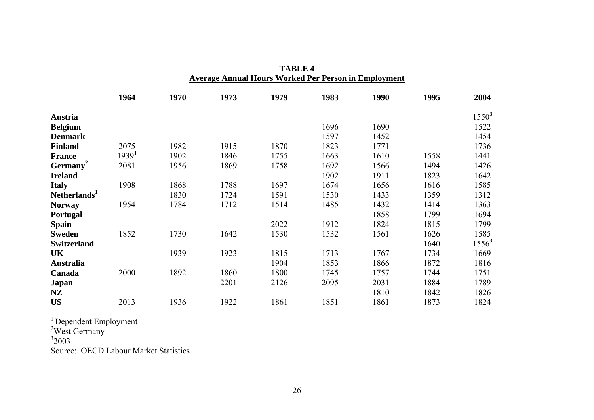|                          | 1964              | 1970 | 1973 | 1979 | 1983 | 1990 | 1995 | 2004     |
|--------------------------|-------------------|------|------|------|------|------|------|----------|
| Austria                  |                   |      |      |      |      |      |      | $1550^3$ |
| <b>Belgium</b>           |                   |      |      |      | 1696 | 1690 |      | 1522     |
| <b>Denmark</b>           |                   |      |      |      | 1597 | 1452 |      | 1454     |
| <b>Finland</b>           | 2075              | 1982 | 1915 | 1870 | 1823 | 1771 |      | 1736     |
| <b>France</b>            | 1939 <sup>1</sup> | 1902 | 1846 | 1755 | 1663 | 1610 | 1558 | 1441     |
| Germany <sup>2</sup>     | 2081              | 1956 | 1869 | 1758 | 1692 | 1566 | 1494 | 1426     |
| <b>Ireland</b>           |                   |      |      |      | 1902 | 1911 | 1823 | 1642     |
| <b>Italy</b>             | 1908              | 1868 | 1788 | 1697 | 1674 | 1656 | 1616 | 1585     |
| Netherlands <sup>1</sup> |                   | 1830 | 1724 | 1591 | 1530 | 1433 | 1359 | 1312     |
| <b>Norway</b>            | 1954              | 1784 | 1712 | 1514 | 1485 | 1432 | 1414 | 1363     |
| Portugal                 |                   |      |      |      |      | 1858 | 1799 | 1694     |
| <b>Spain</b>             |                   |      |      | 2022 | 1912 | 1824 | 1815 | 1799     |
| <b>Sweden</b>            | 1852              | 1730 | 1642 | 1530 | 1532 | 1561 | 1626 | 1585     |
| <b>Switzerland</b>       |                   |      |      |      |      |      | 1640 | $1556^3$ |
| UK                       |                   | 1939 | 1923 | 1815 | 1713 | 1767 | 1734 | 1669     |
| <b>Australia</b>         |                   |      |      | 1904 | 1853 | 1866 | 1872 | 1816     |
| Canada                   | 2000              | 1892 | 1860 | 1800 | 1745 | 1757 | 1744 | 1751     |
| Japan                    |                   |      | 2201 | 2126 | 2095 | 2031 | 1884 | 1789     |
| NZ                       |                   |      |      |      |      | 1810 | 1842 | 1826     |
| <b>US</b>                | 2013              | 1936 | 1922 | 1861 | 1851 | 1861 | 1873 | 1824     |
|                          |                   |      |      |      |      |      |      |          |

**TABLE 4 Average Annual Hours Worked Per Person in Employment**

<sup>1</sup> Dependent Employment

<sup>2</sup>West Germany

 $32003$ 

Source: OECD Labour Market Statistics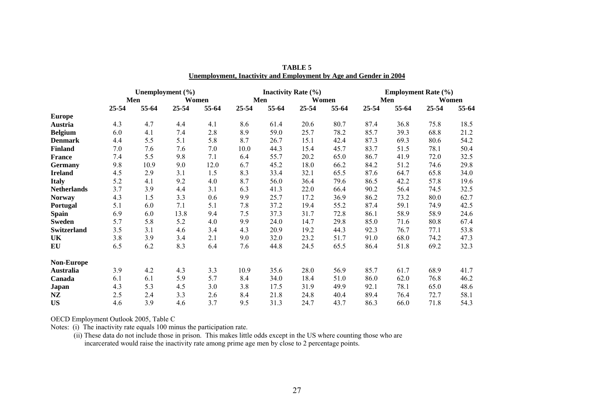|                    | Unemployment $(\% )$ |       |       | <b>Inactivity Rate</b> $(\% )$ |       |       | <b>Employment Rate (%)</b> |       |           |       |       |       |
|--------------------|----------------------|-------|-------|--------------------------------|-------|-------|----------------------------|-------|-----------|-------|-------|-------|
|                    |                      | Men   |       | Women                          |       | Men   |                            | Women |           | Men   |       | Women |
|                    | 25-54                | 55-64 | 25-54 | 55-64                          | 25-54 | 55-64 | 25-54                      | 55-64 | $25 - 54$ | 55-64 | 25-54 | 55-64 |
| <b>Europe</b>      |                      |       |       |                                |       |       |                            |       |           |       |       |       |
| Austria            | 4.3                  | 4.7   | 4.4   | 4.1                            | 8.6   | 61.4  | 20.6                       | 80.7  | 87.4      | 36.8  | 75.8  | 18.5  |
| <b>Belgium</b>     | 6.0                  | 4.1   | 7.4   | 2.8                            | 8.9   | 59.0  | 25.7                       | 78.2  | 85.7      | 39.3  | 68.8  | 21.2  |
| <b>Denmark</b>     | 4.4                  | 5.5   | 5.1   | 5.8                            | 8.7   | 26.7  | 15.1                       | 42.4  | 87.3      | 69.3  | 80.6  | 54.2  |
| <b>Finland</b>     | 7.0                  | 7.6   | 7.6   | 7.0                            | 10.0  | 44.3  | 15.4                       | 45.7  | 83.7      | 51.5  | 78.1  | 50.4  |
| <b>France</b>      | 7.4                  | 5.5   | 9.8   | 7.1                            | 6.4   | 55.7  | 20.2                       | 65.0  | 86.7      | 41.9  | 72.0  | 32.5  |
| <b>Germany</b>     | 9.8                  | 10.9  | 9.0   | 12.0                           | 6.7   | 45.2  | 18.0                       | 66.2  | 84.2      | 51.2  | 74.6  | 29.8  |
| <b>Ireland</b>     | 4.5                  | 2.9   | 3.1   | 1.5                            | 8.3   | 33.4  | 32.1                       | 65.5  | 87.6      | 64.7  | 65.8  | 34.0  |
| <b>Italy</b>       | 5.2                  | 4.1   | 9.2   | 4.0                            | 8.7   | 56.0  | 36.4                       | 79.6  | 86.5      | 42.2  | 57.8  | 19.6  |
| <b>Netherlands</b> | 3.7                  | 3.9   | 4.4   | 3.1                            | 6.3   | 41.3  | 22.0                       | 66.4  | 90.2      | 56.4  | 74.5  | 32.5  |
| <b>Norway</b>      | 4.3                  | 1.5   | 3.3   | 0.6                            | 9.9   | 25.7  | 17.2                       | 36.9  | 86.2      | 73.2  | 80.0  | 62.7  |
| Portugal           | 5.1                  | 6.0   | 7.1   | 5.1                            | 7.8   | 37.2  | 19.4                       | 55.2  | 87.4      | 59.1  | 74.9  | 42.5  |
| <b>Spain</b>       | 6.9                  | 6.0   | 13.8  | 9.4                            | 7.5   | 37.3  | 31.7                       | 72.8  | 86.1      | 58.9  | 58.9  | 24.6  |
| <b>Sweden</b>      | 5.7                  | 5.8   | 5.2   | 4.0                            | 9.9   | 24.0  | 14.7                       | 29.8  | 85.0      | 71.6  | 80.8  | 67.4  |
| <b>Switzerland</b> | 3.5                  | 3.1   | 4.6   | 3.4                            | 4.3   | 20.9  | 19.2                       | 44.3  | 92.3      | 76.7  | 77.1  | 53.8  |
| <b>UK</b>          | 3.8                  | 3.9   | 3.4   | 2.1                            | 9.0   | 32.0  | 23.2                       | 51.7  | 91.0      | 68.0  | 74.2  | 47.3  |
| EU                 | 6.5                  | 6.2   | 8.3   | 6.4                            | 7.6   | 44.8  | 24.5                       | 65.5  | 86.4      | 51.8  | 69.2  | 32.3  |
| Non-Europe         |                      |       |       |                                |       |       |                            |       |           |       |       |       |
| <b>Australia</b>   | 3.9                  | 4.2   | 4.3   | 3.3                            | 10.9  | 35.6  | 28.0                       | 56.9  | 85.7      | 61.7  | 68.9  | 41.7  |
| Canada             | 6.1                  | 6.1   | 5.9   | 5.7                            | 8.4   | 34.0  | 18.4                       | 51.0  | 86.0      | 62.0  | 76.8  | 46.2  |
| Japan              | 4.3                  | 5.3   | 4.5   | 3.0                            | 3.8   | 17.5  | 31.9                       | 49.9  | 92.1      | 78.1  | 65.0  | 48.6  |
| NZ                 | 2.5                  | 2.4   | 3.3   | 2.6                            | 8.4   | 21.8  | 24.8                       | 40.4  | 89.4      | 76.4  | 72.7  | 58.1  |
| <b>US</b>          | 4.6                  | 3.9   | 4.6   | 3.7                            | 9.5   | 31.3  | 24.7                       | 43.7  | 86.3      | 66.0  | 71.8  | 54.3  |

|  | TABLE 5 |                                                                   |
|--|---------|-------------------------------------------------------------------|
|  |         | Unemployment, Inactivity and Employment by Age and Gender in 2004 |

OECD Employment Outlook 2005, Table C

Notes: (i) The inactivity rate equals 100 minus the participation rate.

(ii) These data do not include those in prison. This makes little odds except in the US where counting those who are incarcerated would raise the inactivity rate among prime age men by close to 2 percentage points.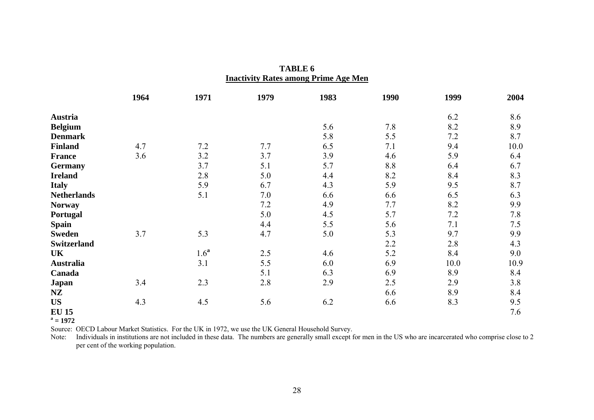|                    | 1964 | 1971             | 1979 | 1983 | 1990 | 1999 | 2004 |
|--------------------|------|------------------|------|------|------|------|------|
| <b>Austria</b>     |      |                  |      |      |      | 6.2  | 8.6  |
| <b>Belgium</b>     |      |                  |      | 5.6  | 7.8  | 8.2  | 8.9  |
| <b>Denmark</b>     |      |                  |      | 5.8  | 5.5  | 7.2  | 8.7  |
| <b>Finland</b>     | 4.7  | 7.2              | 7.7  | 6.5  | 7.1  | 9.4  | 10.0 |
| <b>France</b>      | 3.6  | 3.2              | 3.7  | 3.9  | 4.6  | 5.9  | 6.4  |
| <b>Germany</b>     |      | 3.7              | 5.1  | 5.7  | 8.8  | 6.4  | 6.7  |
| <b>Ireland</b>     |      | 2.8              | 5.0  | 4.4  | 8.2  | 8.4  | 8.3  |
| <b>Italy</b>       |      | 5.9              | 6.7  | 4.3  | 5.9  | 9.5  | 8.7  |
| <b>Netherlands</b> |      | 5.1              | 7.0  | 6.6  | 6.6  | 6.5  | 6.3  |
| <b>Norway</b>      |      |                  | 7.2  | 4.9  | 7.7  | 8.2  | 9.9  |
| Portugal           |      |                  | 5.0  | 4.5  | 5.7  | 7.2  | 7.8  |
| <b>Spain</b>       |      |                  | 4.4  | 5.5  | 5.6  | 7.1  | 7.5  |
| <b>Sweden</b>      | 3.7  | 5.3              | 4.7  | 5.0  | 5.3  | 9.7  | 9.9  |
| <b>Switzerland</b> |      |                  |      |      | 2.2  | 2.8  | 4.3  |
| <b>UK</b>          |      | 1.6 <sup>a</sup> | 2.5  | 4.6  | 5.2  | 8.4  | 9.0  |
| <b>Australia</b>   |      | 3.1              | 5.5  | 6.0  | 6.9  | 10.0 | 10.9 |
| Canada             |      |                  | 5.1  | 6.3  | 6.9  | 8.9  | 8.4  |
| Japan              | 3.4  | 2.3              | 2.8  | 2.9  | 2.5  | 2.9  | 3.8  |
| NZ                 |      |                  |      |      | 6.6  | 8.9  | 8.4  |
| <b>US</b>          | 4.3  | 4.5              | 5.6  | 6.2  | 6.6  | 8.3  | 9.5  |
| <b>EU 15</b>       |      |                  |      |      |      |      | 7.6  |

**TABLE 6 Inactivity Rates among Prime Age Men**

 $a = 1972$ 

Source: OECD Labour Market Statistics. For the UK in 1972, we use the UK General Household Survey.

Note: Individuals in institutions are not included in these data. The numbers are generally small except for men in the US who are incarcerated who comprise close to 2 per cent of the working population.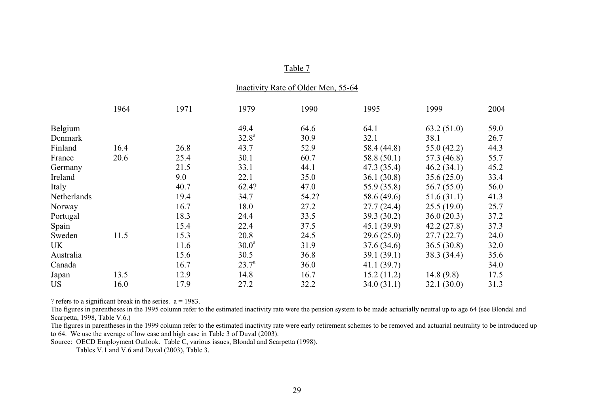#### Inactivity Rate of Older Men, 55-64

|             | 1964 | 1971 | 1979              | 1990  | 1995        | 1999        | 2004 |
|-------------|------|------|-------------------|-------|-------------|-------------|------|
| Belgium     |      |      | 49.4              | 64.6  | 64.1        | 63.2(51.0)  | 59.0 |
| Denmark     |      |      | $32.8^a$          | 30.9  | 32.1        | 38.1        | 26.7 |
| Finland     | 16.4 | 26.8 | 43.7              | 52.9  | 58.4 (44.8) | 55.0(42.2)  | 44.3 |
| France      | 20.6 | 25.4 | 30.1              | 60.7  | 58.8 (50.1) | 57.3 (46.8) | 55.7 |
| Germany     |      | 21.5 | 33.1              | 44.1  | 47.3 (35.4) | 46.2(34.1)  | 45.2 |
| Ireland     |      | 9.0  | 22.1              | 35.0  | 36.1(30.8)  | 35.6(25.0)  | 33.4 |
| Italy       |      | 40.7 | 62.4?             | 47.0  | 55.9 (35.8) | 56.7(55.0)  | 56.0 |
| Netherlands |      | 19.4 | 34.7              | 54.2? | 58.6 (49.6) | 51.6(31.1)  | 41.3 |
| Norway      |      | 16.7 | 18.0              | 27.2  | 27.7(24.4)  | 25.5(19.0)  | 25.7 |
| Portugal    |      | 18.3 | 24.4              | 33.5  | 39.3 (30.2) | 36.0(20.3)  | 37.2 |
| Spain       |      | 15.4 | 22.4              | 37.5  | 45.1(39.9)  | 42.2(27.8)  | 37.3 |
| Sweden      | 11.5 | 15.3 | 20.8              | 24.5  | 29.6(25.0)  | 27.7(22.7)  | 24.0 |
| UK.         |      | 11.6 | 30.0 <sup>a</sup> | 31.9  | 37.6(34.6)  | 36.5(30.8)  | 32.0 |
| Australia   |      | 15.6 | 30.5              | 36.8  | 39.1(39.1)  | 38.3 (34.4) | 35.6 |
| Canada      |      | 16.7 | 23.7 <sup>a</sup> | 36.0  | 41.1(39.7)  |             | 34.0 |
| Japan       | 13.5 | 12.9 | 14.8              | 16.7  | 15.2(11.2)  | 14.8(9.8)   | 17.5 |
| <b>US</b>   | 16.0 | 17.9 | 27.2              | 32.2  | 34.0(31.1)  | 32.1(30.0)  | 31.3 |

? refers to a significant break in the series.  $a = 1983$ .

The figures in parentheses in the 1995 column refer to the estimated inactivity rate were the pension system to be made actuarially neutral up to age 64 (see Blondal and Scarpetta, 1998, Table V.6.)

The figures in parentheses in the 1999 column refer to the estimated inactivity rate were early retirement schemes to be removed and actuarial neutrality to be introduced up to 64. We use the average of low case and high case in Table 3 of Duval (2003).

Source: OECD Employment Outlook. Table C, various issues, Blondal and Scarpetta (1998).

Tables V.1 and V.6 and Duval (2003), Table 3.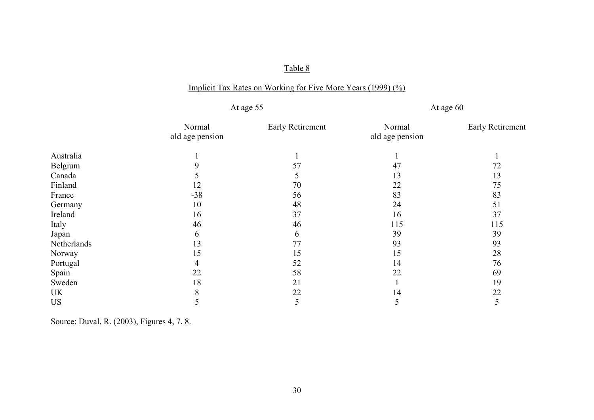# Implicit Tax Rates on Working for Five More Years (1999) (%)

At age 55 At age 60

|             | Normal          | Early Retirement | Normal          | <b>Early Retirement</b> |
|-------------|-----------------|------------------|-----------------|-------------------------|
|             | old age pension |                  | old age pension |                         |
| Australia   |                 |                  |                 |                         |
| Belgium     |                 | 57               | 47              | 72                      |
| Canada      |                 |                  | 13              | 13                      |
| Finland     | 12              | 70               | 22              | 75                      |
| France      | $-38$           | 56               | 83              | 83                      |
| Germany     | 10              | 48               | 24              | 51                      |
| Ireland     | 16              | 37               | 16              | 37                      |
| Italy       | 46              | 46               | 115             | 115                     |
| Japan       | <sub>n</sub>    | 6                | 39              | 39                      |
| Netherlands | 13              | 77               | 93              | 93                      |
| Norway      | 15              | 15               | 15              | 28                      |
| Portugal    |                 | 52               | 14              | 76                      |
| Spain       | 22              | 58               | 22              | 69                      |
| Sweden      | 18              | 21               |                 | 19                      |
| UK          | 8               | 22               | 14              | 22                      |
| <b>US</b>   |                 | 5                |                 | 5                       |

Source: Duval, R. (2003), Figures 4, 7, 8.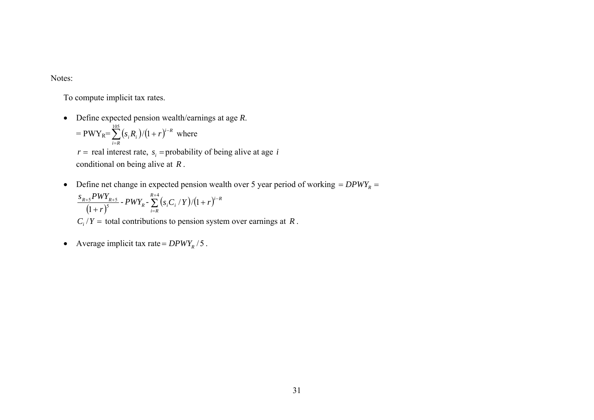Notes:

To compute implicit tax rates.

- Define expected pension wealth/earnings at age *R*.  $= PWY_R = \sum (s_i R_i)/(1+r)^{i-R}$  where *i R*  $S_i R_i$  )/(1+r)<sup> $i^{-}$ </sup> =  $\sum^{105} (s_i R_i)/(1 +$  $r =$  real interest rate,  $s_i$  = probability of being alive at age *i* conditional on being alive at *R* .
- Define net change in expected pension wealth over 5 year period of working  $= D P W Y_R$

$$
\frac{s_{R+S} P W Y_{R+S}}{(1+r)^5} - P W Y_R - \sum_{i=R}^{R+4} (s_i C_i / Y) / (1+r)^{i-R}
$$
  
C<sub>i</sub>/Y = total contributions to pension system over earnings at R.

• Average implicit tax rate =  $DPWY_R / 5$ .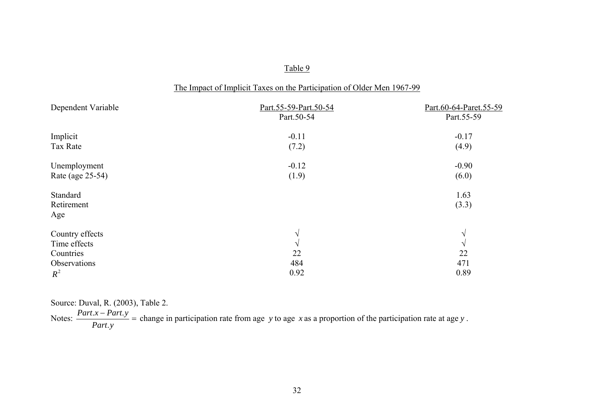| The Impact of Implicit Taxes on the Participation of Older Men 1967-99 |  |  |
|------------------------------------------------------------------------|--|--|
|                                                                        |  |  |

| Dependent Variable | Part.55-59-Part.50-54<br>Part.50-54 | Part.60-64-Paret.55-59<br>Part.55-59 |
|--------------------|-------------------------------------|--------------------------------------|
| Implicit           | $-0.11$                             | $-0.17$                              |
| <b>Tax Rate</b>    | (7.2)                               | (4.9)                                |
| Unemployment       | $-0.12$                             | $-0.90$                              |
| Rate (age 25-54)   | (1.9)                               | (6.0)                                |
| Standard           |                                     | 1.63                                 |
| Retirement         |                                     | (3.3)                                |
| Age                |                                     |                                      |
| Country effects    | $\sqrt{ }$                          | V                                    |
| Time effects       | $\sqrt{ }$                          | $\sqrt{ }$                           |
| Countries          | 22                                  | 22                                   |
| Observations       | 484                                 | 471                                  |
| $R^2$              | 0.92                                | 0.89                                 |

Source: Duval, R. (2003), Table 2.

Notes:  $\frac{1.44 \times 10^{-4} \text{ m/s}}{1.44 \times 10^{-4} \text{ m/s}}$ − *Part y Part x Part y* .  $\frac{1}{2}$  = change in participation rate from age *y* to age *x* as a proportion of the participation rate at age *y*.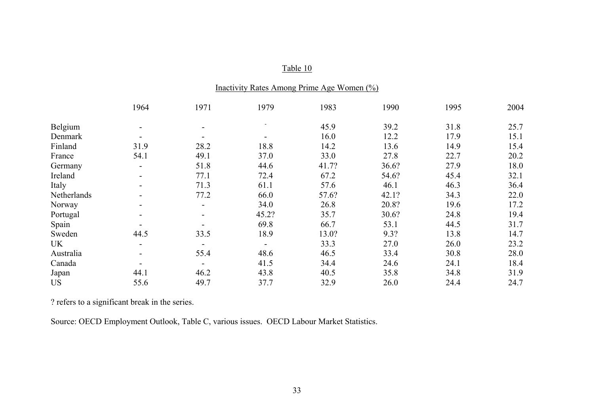|             | $max_{100}$ Nates Alliong 1 mile Age Wolffel (70) |      |       |       |       |      |      |  |  |
|-------------|---------------------------------------------------|------|-------|-------|-------|------|------|--|--|
|             | 1964                                              | 1971 | 1979  | 1983  | 1990  | 1995 | 2004 |  |  |
| Belgium     |                                                   |      |       | 45.9  | 39.2  | 31.8 | 25.7 |  |  |
| Denmark     |                                                   |      |       | 16.0  | 12.2  | 17.9 | 15.1 |  |  |
| Finland     | 31.9                                              | 28.2 | 18.8  | 14.2  | 13.6  | 14.9 | 15.4 |  |  |
| France      | 54.1                                              | 49.1 | 37.0  | 33.0  | 27.8  | 22.7 | 20.2 |  |  |
| Germany     | $\blacksquare$                                    | 51.8 | 44.6  | 41.7? | 36.6? | 27.9 | 18.0 |  |  |
| Ireland     | $\blacksquare$                                    | 77.1 | 72.4  | 67.2  | 54.6? | 45.4 | 32.1 |  |  |
| Italy       | ۰.                                                | 71.3 | 61.1  | 57.6  | 46.1  | 46.3 | 36.4 |  |  |
| Netherlands | ۰.                                                | 77.2 | 66.0  | 57.6? | 42.1? | 34.3 | 22.0 |  |  |
| Norway      |                                                   |      | 34.0  | 26.8  | 20.8? | 19.6 | 17.2 |  |  |
| Portugal    | ۰.                                                |      | 45.2? | 35.7  | 30.6? | 24.8 | 19.4 |  |  |
| Spain       |                                                   |      | 69.8  | 66.7  | 53.1  | 44.5 | 31.7 |  |  |
| Sweden      | 44.5                                              | 33.5 | 18.9  | 13.0? | 9.3?  | 13.8 | 14.7 |  |  |
| UK          | $\sim$                                            |      |       | 33.3  | 27.0  | 26.0 | 23.2 |  |  |
| Australia   | ۰.                                                | 55.4 | 48.6  | 46.5  | 33.4  | 30.8 | 28.0 |  |  |
| Canada      |                                                   |      | 41.5  | 34.4  | 24.6  | 24.1 | 18.4 |  |  |
| Japan       | 44.1                                              | 46.2 | 43.8  | 40.5  | 35.8  | 34.8 | 31.9 |  |  |
| <b>US</b>   | 55.6                                              | 49.7 | 37.7  | 32.9  | 26.0  | 24.4 | 24.7 |  |  |

Inactivity Rates Among Prime Age Women (%)

? refers to a significant break in the series.

Source: OECD Employment Outlook, Table C, various issues. OECD Labour Market Statistics.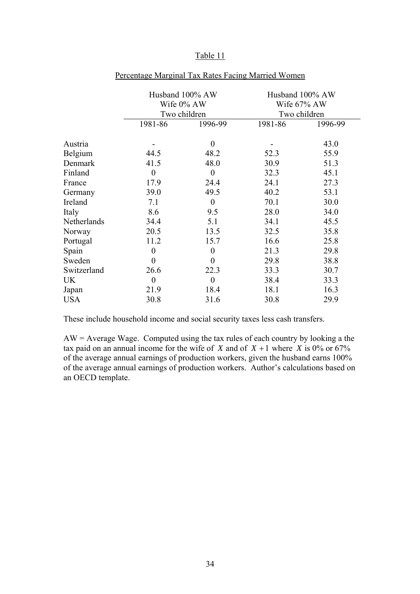|             |                  | Husband 100% AW<br>Wife 0% AW<br>Two children | Husband 100% AW<br>Wife 67% AW<br>Two children |         |  |
|-------------|------------------|-----------------------------------------------|------------------------------------------------|---------|--|
|             | 1981-86          | 1996-99                                       | 1981-86                                        | 1996-99 |  |
| Austria     |                  | $\theta$                                      |                                                | 43.0    |  |
| Belgium     | 44.5             | 48.2                                          | 52.3                                           | 55.9    |  |
| Denmark     | 41.5             | 48.0                                          | 30.9                                           | 51.3    |  |
| Finland     | $\overline{0}$   | $\overline{0}$                                | 32.3                                           | 45.1    |  |
| France      | 17.9             | 24.4                                          | 24.1                                           | 27.3    |  |
| Germany     | 39.0             | 49.5                                          | 40.2                                           | 53.1    |  |
| Ireland     | 7.1              | $\overline{0}$                                | 70.1                                           | 30.0    |  |
| Italy       | 8.6              | 9.5                                           | 28.0                                           | 34.0    |  |
| Netherlands | 34.4             | 5.1                                           | 34.1                                           | 45.5    |  |
| Norway      | 20.5             | 13.5                                          | 32.5                                           | 35.8    |  |
| Portugal    | 11.2             | 15.7                                          | 16.6                                           | 25.8    |  |
| Spain       | $\boldsymbol{0}$ | $\overline{0}$                                | 21.3                                           | 29.8    |  |
| Sweden      | $\boldsymbol{0}$ | $\overline{0}$                                | 29.8                                           | 38.8    |  |
| Switzerland | 26.6             | 22.3                                          | 33.3                                           | 30.7    |  |
| UK          | $\boldsymbol{0}$ | $\boldsymbol{0}$                              | 38.4                                           | 33.3    |  |
| Japan       | 21.9             | 18.4                                          | 18.1                                           | 16.3    |  |
| <b>USA</b>  | 30.8             | 31.6                                          | 30.8                                           | 29.9    |  |

### Percentage Marginal Tax Rates Facing Married Women

These include household income and social security taxes less cash transfers.

AW = Average Wage. Computed using the tax rules of each country by looking a the tax paid on an annual income for the wife of *X* and of  $X + 1$  where  $X$  is 0% or 67% of the average annual earnings of production workers, given the husband earns 100% of the average annual earnings of production workers. Author's calculations based on an OECD template.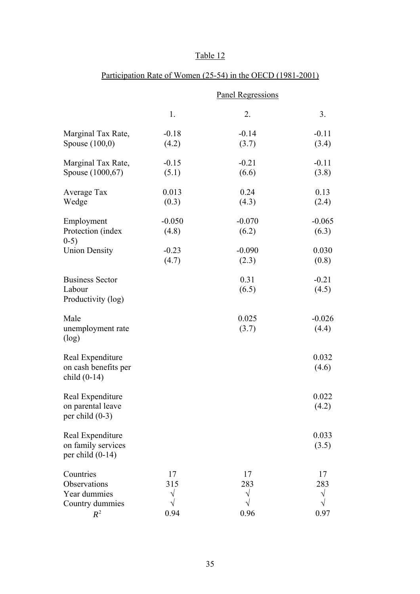|                                          | <b>Panel Regressions</b> |          |          |  |  |
|------------------------------------------|--------------------------|----------|----------|--|--|
|                                          | 1.                       | 2.       | 3.       |  |  |
| Marginal Tax Rate,                       | $-0.18$                  | $-0.14$  | $-0.11$  |  |  |
| Spouse $(100,0)$                         | (4.2)                    | (3.7)    | (3.4)    |  |  |
| Marginal Tax Rate,                       | $-0.15$                  | $-0.21$  | $-0.11$  |  |  |
| Spouse (1000,67)                         | (5.1)                    | (6.6)    | (3.8)    |  |  |
| Average Tax                              | 0.013                    | 0.24     | 0.13     |  |  |
| Wedge                                    | (0.3)                    | (4.3)    | (2.4)    |  |  |
| Employment                               | $-0.050$                 | $-0.070$ | $-0.065$ |  |  |
| Protection (index<br>$0-5)$              | (4.8)                    | (6.2)    | (6.3)    |  |  |
| <b>Union Density</b>                     | $-0.23$                  | $-0.090$ | 0.030    |  |  |
|                                          | (4.7)                    | (2.3)    | (0.8)    |  |  |
| <b>Business Sector</b>                   |                          | 0.31     | $-0.21$  |  |  |
| Labour<br>Productivity (log)             |                          | (6.5)    | (4.5)    |  |  |
| Male                                     |                          | 0.025    | $-0.026$ |  |  |
| unemployment rate<br>(log)               |                          | (3.7)    | (4.4)    |  |  |
| Real Expenditure                         |                          |          | 0.032    |  |  |
| on cash benefits per<br>child $(0-14)$   |                          |          | (4.6)    |  |  |
| Real Expenditure                         |                          |          | 0.022    |  |  |
| on parental leave<br>per child $(0-3)$   |                          |          | (4.2)    |  |  |
| Real Expenditure                         |                          |          | 0.033    |  |  |
| on family services<br>per child $(0-14)$ |                          |          | (3.5)    |  |  |
| Countries                                | 17                       | 17       | 17       |  |  |
| Observations                             | 315                      | 283      | 283      |  |  |
| Year dummies<br>Country dummies          |                          |          | V        |  |  |
| $R^2$                                    | 0.94                     | 0.96     | 0.97     |  |  |

# Participation Rate of Women (25-54) in the OECD (1981-2001)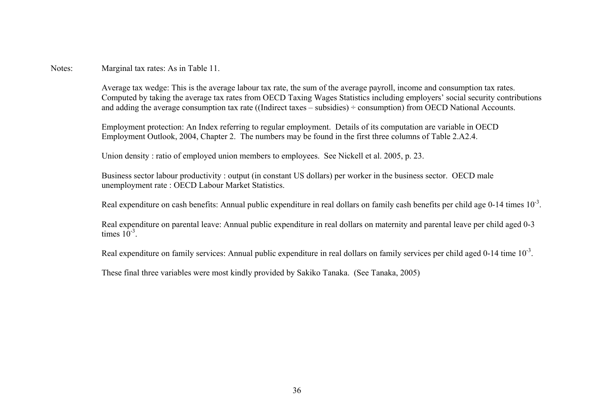Notes: Marginal tax rates: As in Table 11.

Average tax wedge: This is the average labour tax rate, the sum of the average payroll, income and consumption tax rates. Computed by taking the average tax rates from OECD Taxing Wages Statistics including employers' social security contributions and adding the average consumption tax rate ((Indirect taxes – subsidies)  $\div$  consumption) from OECD National Accounts.

Employment protection: An Index referring to regular employment. Details of its computation are variable in OECD Employment Outlook, 2004, Chapter 2. The numbers may be found in the first three columns of Table 2.A2.4.

Union density : ratio of employed union members to employees. See Nickell et al. 2005, p. 23.

Business sector labour productivity : output (in constant US dollars) per worker in the business sector. OECD male unemployment rate : OECD Labour Market Statistics.

Real expenditure on cash benefits: Annual public expenditure in real dollars on family cash benefits per child age  $0-14$  times  $10^{-3}$ .

Real expenditure on parental leave: Annual public expenditure in real dollars on maternity and parental leave per child aged 0-3 times  $10^{-3}$ 

Real expenditure on family services: Annual public expenditure in real dollars on family services per child aged 0-14 time 10<sup>-3</sup>.

These final three variables were most kindly provided by Sakiko Tanaka. (See Tanaka, 2005)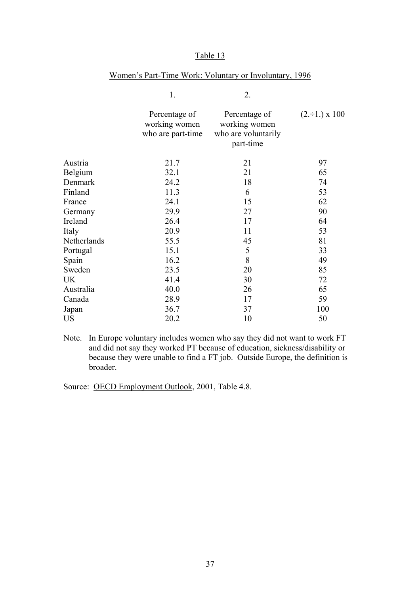|             | 1.                                                  | 2.                                                                 |                         |
|-------------|-----------------------------------------------------|--------------------------------------------------------------------|-------------------------|
|             | Percentage of<br>working women<br>who are part-time | Percentage of<br>working women<br>who are voluntarily<br>part-time | $(2 \div 1) \times 100$ |
| Austria     | 21.7                                                | 21                                                                 | 97                      |
| Belgium     | 32.1                                                | 21                                                                 | 65                      |
| Denmark     | 24.2                                                | 18                                                                 | 74                      |
| Finland     | 11.3                                                | 6                                                                  | 53                      |
| France      | 24.1                                                | 15                                                                 | 62                      |
| Germany     | 29.9                                                | 27                                                                 | 90                      |
| Ireland     | 26.4                                                | 17                                                                 | 64                      |
| Italy       | 20.9                                                | 11                                                                 | 53                      |
| Netherlands | 55.5                                                | 45                                                                 | 81                      |
| Portugal    | 15.1                                                | 5                                                                  | 33                      |
| Spain       | 16.2                                                | 8                                                                  | 49                      |
| Sweden      | 23.5                                                | 20                                                                 | 85                      |
| <b>UK</b>   | 41.4                                                | 30                                                                 | 72                      |
| Australia   | 40.0                                                | 26                                                                 | 65                      |
| Canada      | 28.9                                                | 17                                                                 | 59                      |
| Japan       | 36.7                                                | 37                                                                 | 100                     |
| <b>US</b>   | 20.2                                                | 10                                                                 | 50                      |

### Women's Part-Time Work: Voluntary or Involuntary, 1996

Note. In Europe voluntary includes women who say they did not want to work FT and did not say they worked PT because of education, sickness/disability or because they were unable to find a FT job. Outside Europe, the definition is broader.

Source: OECD Employment Outlook, 2001, Table 4.8.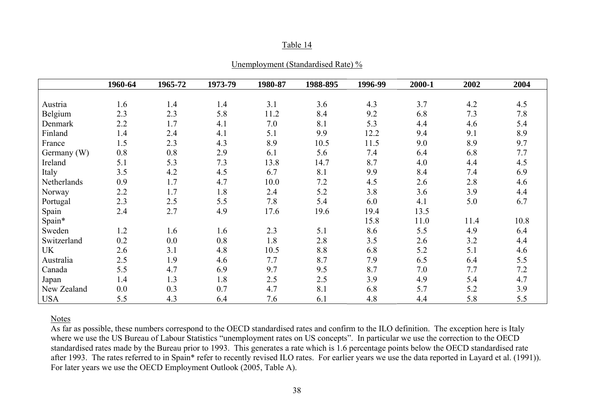|--|

|             | 1960-64 | 1965-72 | 1973-79 | 1980-87 | 1988-895 | 1996-99 | 2000-1 | 2002 | 2004 |
|-------------|---------|---------|---------|---------|----------|---------|--------|------|------|
|             |         |         |         |         |          |         |        |      |      |
| Austria     | 1.6     | 1.4     | 1.4     | 3.1     | 3.6      | 4.3     | 3.7    | 4.2  | 4.5  |
| Belgium     | 2.3     | 2.3     | 5.8     | 11.2    | 8.4      | 9.2     | 6.8    | 7.3  | 7.8  |
| Denmark     | 2.2     | 1.7     | 4.1     | 7.0     | 8.1      | 5.3     | 4.4    | 4.6  | 5.4  |
| Finland     | 1.4     | 2.4     | 4.1     | 5.1     | 9.9      | 12.2    | 9.4    | 9.1  | 8.9  |
| France      | 1.5     | 2.3     | 4.3     | 8.9     | 10.5     | 11.5    | 9.0    | 8.9  | 9.7  |
| Germany (W) | 0.8     | 0.8     | 2.9     | 6.1     | 5.6      | 7.4     | 6.4    | 6.8  | 7.7  |
| Ireland     | 5.1     | 5.3     | 7.3     | 13.8    | 14.7     | 8.7     | 4.0    | 4.4  | 4.5  |
| Italy       | 3.5     | 4.2     | 4.5     | 6.7     | 8.1      | 9.9     | 8.4    | 7.4  | 6.9  |
| Netherlands | 0.9     | 1.7     | 4.7     | 10.0    | 7.2      | 4.5     | 2.6    | 2.8  | 4.6  |
| Norway      | 2.2     | 1.7     | 1.8     | 2.4     | 5.2      | 3.8     | 3.6    | 3.9  | 4.4  |
| Portugal    | 2.3     | 2.5     | 5.5     | 7.8     | 5.4      | 6.0     | 4.1    | 5.0  | 6.7  |
| Spain       | 2.4     | 2.7     | 4.9     | 17.6    | 19.6     | 19.4    | 13.5   |      |      |
| Spain*      |         |         |         |         |          | 15.8    | 11.0   | 11.4 | 10.8 |
| Sweden      | 1.2     | 1.6     | 1.6     | 2.3     | 5.1      | 8.6     | 5.5    | 4.9  | 6.4  |
| Switzerland | 0.2     | 0.0     | 0.8     | 1.8     | 2.8      | 3.5     | 2.6    | 3.2  | 4.4  |
| <b>UK</b>   | 2.6     | 3.1     | 4.8     | 10.5    | 8.8      | 6.8     | 5.2    | 5.1  | 4.6  |
| Australia   | 2.5     | 1.9     | 4.6     | 7.7     | 8.7      | 7.9     | 6.5    | 6.4  | 5.5  |
| Canada      | 5.5     | 4.7     | 6.9     | 9.7     | 9.5      | 8.7     | 7.0    | 7.7  | 7.2  |
| Japan       | 1.4     | 1.3     | 1.8     | 2.5     | 2.5      | 3.9     | 4.9    | 5.4  | 4.7  |
| New Zealand | 0.0     | 0.3     | 0.7     | 4.7     | 8.1      | 6.8     | 5.7    | 5.2  | 3.9  |
| <b>USA</b>  | 5.5     | 4.3     | 6.4     | 7.6     | 6.1      | 4.8     | 4.4    | 5.8  | 5.5  |

#### Notes

As far as possible, these numbers correspond to the OECD standardised rates and confirm to the ILO definition. The exception here is Italy where we use the US Bureau of Labour Statistics "unemployment rates on US concepts". In particular we use the correction to the OECD standardised rates made by the Bureau prior to 1993. This generates a rate which is 1.6 percentage points below the OECD standardised rate after 1993. The rates referred to in Spain\* refer to recently revised ILO rates. For earlier years we use the data reported in Layard et al. (1991)). For later years we use the OECD Employment Outlook (2005, Table A).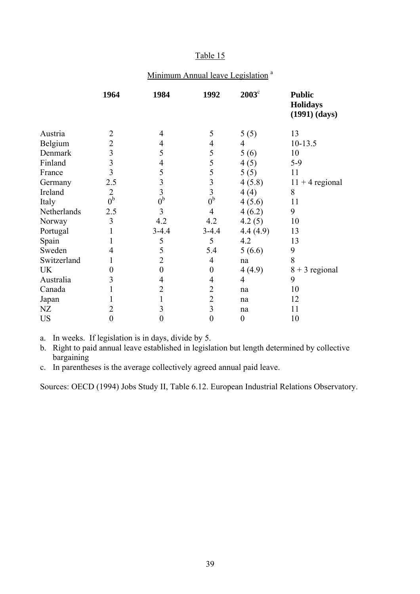## Minimum Annual leave Legislation<sup>a</sup>

|             | 1964                    | 1984             | 1992             | $2003^{\circ}$   | <b>Public</b><br><b>Holidays</b><br>$(1991)$ $(days)$ |
|-------------|-------------------------|------------------|------------------|------------------|-------------------------------------------------------|
| Austria     | 2                       | 4                | 5                | 5(5)             | 13                                                    |
| Belgium     | $\overline{2}$          | 4                | 4                | 4                | $10-13.5$                                             |
| Denmark     | 3                       | 5                | 5                | 5(6)             | 10                                                    |
| Finland     | $\overline{\mathbf{3}}$ | 4                | 5                | 4(5)             | $5-9$                                                 |
| France      | 3                       | 5                | 5                | 5(5)             | 11                                                    |
| Germany     | 2.5                     | $\overline{3}$   | 3                | 4(5.8)           | $11 + 4$ regional                                     |
| Ireland     | $\overline{2}$          | $\overline{3}$   | $\overline{3}$   | 4(4)             | 8                                                     |
| Italy       | 0 <sup>b</sup>          | 0 <sup>b</sup>   | 0 <sup>b</sup>   | 4(5.6)           | 11                                                    |
| Netherlands | 2.5                     | 3                | $\overline{4}$   | 4(6.2)           | 9                                                     |
| Norway      | 3                       | 4.2              | 4.2              | 4.2(5)           | 10                                                    |
| Portugal    |                         | $3-4.4$          | $3-4.4$          | 4.4(4.9)         | 13                                                    |
| Spain       |                         | 5                | 5                | 4.2              | 13                                                    |
| Sweden      | $\overline{4}$          | 5                | 5.4              | 5(6.6)           | 9                                                     |
| Switzerland |                         | $\overline{2}$   | 4                | na               | 8                                                     |
| UK          | 0                       | $\boldsymbol{0}$ | $\boldsymbol{0}$ | 4(4.9)           | $8 + 3$ regional                                      |
| Australia   | 3                       | 4                | 4                | 4                | 9                                                     |
| Canada      |                         | $\overline{2}$   | $\overline{2}$   | na               | 10                                                    |
| Japan       |                         | 1                | $\overline{2}$   | na               | 12                                                    |
| NZ          | $\overline{2}$          | 3                | $\overline{3}$   | na               | 11                                                    |
| <b>US</b>   | $\boldsymbol{0}$        | $\boldsymbol{0}$ | $\boldsymbol{0}$ | $\boldsymbol{0}$ | 10                                                    |

a. In weeks. If legislation is in days, divide by 5.

b. Right to paid annual leave established in legislation but length determined by collective bargaining

c. In parentheses is the average collectively agreed annual paid leave.

Sources: OECD (1994) Jobs Study II, Table 6.12. European Industrial Relations Observatory.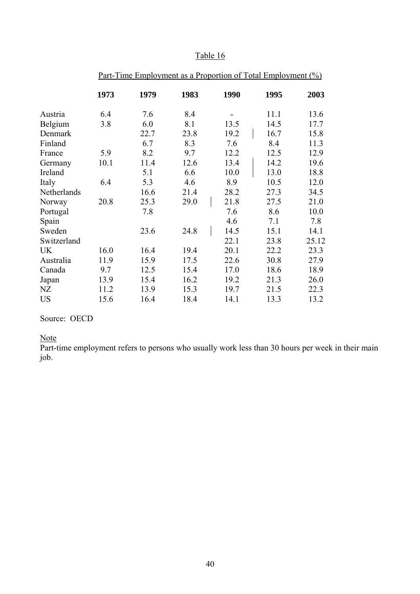| Table<br>l6 |
|-------------|
|-------------|

|             | <u>Part-Time Employment as a Proportion of Total Employment (%)</u> |      |      |      |      |       |  |
|-------------|---------------------------------------------------------------------|------|------|------|------|-------|--|
|             | 1973                                                                | 1979 | 1983 | 1990 | 1995 | 2003  |  |
| Austria     | 6.4                                                                 | 7.6  | 8.4  |      | 11.1 | 13.6  |  |
| Belgium     | 3.8                                                                 | 6.0  | 8.1  | 13.5 | 14.5 | 17.7  |  |
| Denmark     |                                                                     | 22.7 | 23.8 | 19.2 | 16.7 | 15.8  |  |
| Finland     |                                                                     | 6.7  | 8.3  | 7.6  | 8.4  | 11.3  |  |
| France      | 5.9                                                                 | 8.2  | 9.7  | 12.2 | 12.5 | 12.9  |  |
| Germany     | 10.1                                                                | 11.4 | 12.6 | 13.4 | 14.2 | 19.6  |  |
| Ireland     |                                                                     | 5.1  | 6.6  | 10.0 | 13.0 | 18.8  |  |
| Italy       | 6.4                                                                 | 5.3  | 4.6  | 8.9  | 10.5 | 12.0  |  |
| Netherlands |                                                                     | 16.6 | 21.4 | 28.2 | 27.3 | 34.5  |  |
| Norway      | 20.8                                                                | 25.3 | 29.0 | 21.8 | 27.5 | 21.0  |  |
| Portugal    |                                                                     | 7.8  |      | 7.6  | 8.6  | 10.0  |  |
| Spain       |                                                                     |      |      | 4.6  | 7.1  | 7.8   |  |
| Sweden      |                                                                     | 23.6 | 24.8 | 14.5 | 15.1 | 14.1  |  |
| Switzerland |                                                                     |      |      | 22.1 | 23.8 | 25.12 |  |
| UK          | 16.0                                                                | 16.4 | 19.4 | 20.1 | 22.2 | 23.3  |  |
| Australia   | 11.9                                                                | 15.9 | 17.5 | 22.6 | 30.8 | 27.9  |  |
| Canada      | 9.7                                                                 | 12.5 | 15.4 | 17.0 | 18.6 | 18.9  |  |
| Japan       | 13.9                                                                | 15.4 | 16.2 | 19.2 | 21.3 | 26.0  |  |
| NZ          | 11.2                                                                | 13.9 | 15.3 | 19.7 | 21.5 | 22.3  |  |
| <b>US</b>   | 15.6                                                                | 16.4 | 18.4 | 14.1 | 13.3 | 13.2  |  |

#### Part-Time Employment as a Proportion of Total Employment (%)

## Source: OECD

### Note

Part-time employment refers to persons who usually work less than 30 hours per week in their main job.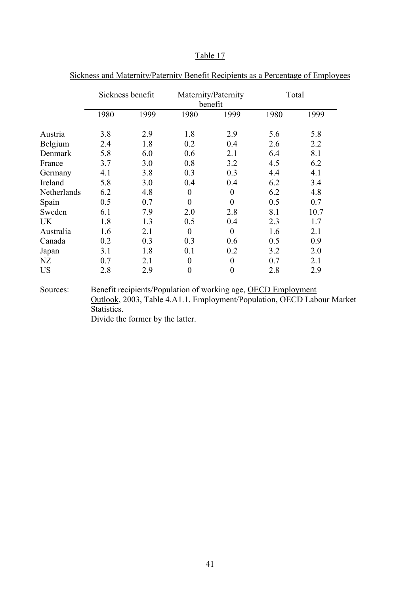|             | Sickness benefit |      |                | Maternity/Paternity<br>benefit |      | Total |
|-------------|------------------|------|----------------|--------------------------------|------|-------|
|             | 1980             | 1999 | 1980           | 1999                           | 1980 | 1999  |
| Austria     | 3.8              | 2.9  | 1.8            | 2.9                            | 5.6  | 5.8   |
| Belgium     | 2.4              | 1.8  | 0.2            | 0.4                            | 2.6  | 2.2   |
| Denmark     | 5.8              | 6.0  | 0.6            | 2.1                            | 6.4  | 8.1   |
| France      | 3.7              | 3.0  | 0.8            | 3.2                            | 4.5  | 6.2   |
| Germany     | 4.1              | 3.8  | 0.3            | 0.3                            | 4.4  | 4.1   |
| Ireland     | 5.8              | 3.0  | 0.4            | 0.4                            | 6.2  | 3.4   |
| Netherlands | 6.2              | 4.8  | $\overline{0}$ | $\overline{0}$                 | 6.2  | 4.8   |
| Spain       | 0.5              | 0.7  | $\theta$       | $\theta$                       | 0.5  | 0.7   |
| Sweden      | 6.1              | 7.9  | 2.0            | 2.8                            | 8.1  | 10.7  |
| UK          | 1.8              | 1.3  | 0.5            | 0.4                            | 2.3  | 1.7   |
| Australia   | 1.6              | 2.1  | $\overline{0}$ | $\overline{0}$                 | 1.6  | 2.1   |
| Canada      | 0.2              | 0.3  | 0.3            | 0.6                            | 0.5  | 0.9   |
| Japan       | 3.1              | 1.8  | 0.1            | 0.2                            | 3.2  | 2.0   |
| NZ          | 0.7              | 2.1  | $\overline{0}$ | $\overline{0}$                 | 0.7  | 2.1   |
| US          | 2.8              | 2.9  | $\overline{0}$ | $\overline{0}$                 | 2.8  | 2.9   |

Sickness and Maternity/Paternity Benefit Recipients as a Percentage of Employees

Sources: Benefit recipients/Population of working age, OECD Employment Outlook, 2003, Table 4.A1.1. Employment/Population, OECD Labour Market Statistics.

Divide the former by the latter.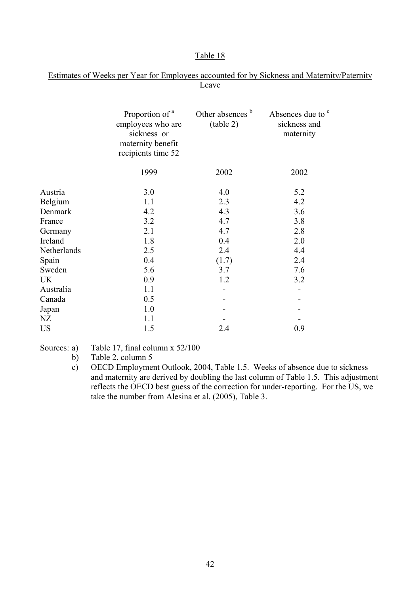### Estimates of Weeks per Year for Employees accounted for by Sickness and Maternity/Paternity Leave

|             | Proportion of <sup>a</sup><br>employees who are<br>sickness or<br>maternity benefit<br>recipients time 52 | Other absences b<br>(table 2) | Absences due to <sup>c</sup><br>sickness and<br>maternity |  |
|-------------|-----------------------------------------------------------------------------------------------------------|-------------------------------|-----------------------------------------------------------|--|
|             | 1999                                                                                                      | 2002                          | 2002                                                      |  |
| Austria     | 3.0                                                                                                       | 4.0                           | 5.2                                                       |  |
| Belgium     | 1.1                                                                                                       | 2.3                           | 4.2                                                       |  |
| Denmark     | 4.2                                                                                                       | 4.3                           | 3.6                                                       |  |
| France      | 3.2                                                                                                       | 4.7                           | 3.8                                                       |  |
| Germany     | 2.1                                                                                                       | 4.7                           | 2.8                                                       |  |
| Ireland     | 1.8                                                                                                       | 0.4                           | 2.0                                                       |  |
| Netherlands | 2.5                                                                                                       | 2.4                           | 4.4                                                       |  |
| Spain       | 0.4                                                                                                       | (1.7)                         | 2.4                                                       |  |
| Sweden      | 5.6                                                                                                       | 3.7                           | 7.6                                                       |  |
| UK          | 0.9                                                                                                       | 1.2                           | 3.2                                                       |  |
| Australia   | 1.1                                                                                                       |                               |                                                           |  |
| Canada      | 0.5                                                                                                       |                               |                                                           |  |
| Japan       | 1.0                                                                                                       |                               |                                                           |  |
| NΖ          | 1.1                                                                                                       |                               |                                                           |  |
| <b>US</b>   | 1.5                                                                                                       | 2.4                           | 0.9                                                       |  |
|             |                                                                                                           |                               |                                                           |  |

## Sources: a) Table 17, final column x 52/100

- b) Table 2, column 5
- c) OECD Employment Outlook, 2004, Table 1.5. Weeks of absence due to sickness and maternity are derived by doubling the last column of Table 1.5. This adjustment reflects the OECD best guess of the correction for under-reporting. For the US, we take the number from Alesina et al. (2005), Table 3.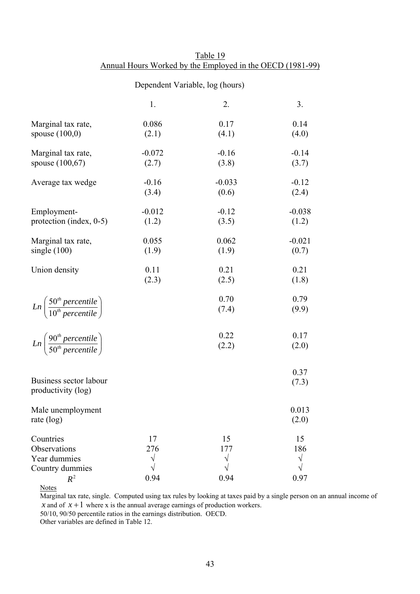|                                                                       | Dependent Variable, log (hours) |                   |                        |  |
|-----------------------------------------------------------------------|---------------------------------|-------------------|------------------------|--|
|                                                                       | 1.                              | 2.                | 3.                     |  |
| Marginal tax rate,<br>spouse $(100,0)$                                | 0.086<br>(2.1)                  | 0.17<br>(4.1)     | 0.14<br>(4.0)          |  |
| Marginal tax rate,<br>spouse $(100,67)$                               | $-0.072$<br>(2.7)               | $-0.16$<br>(3.8)  | $-0.14$<br>(3.7)       |  |
| Average tax wedge                                                     | $-0.16$<br>(3.4)                | $-0.033$<br>(0.6) | $-0.12$<br>(2.4)       |  |
| Employment-<br>protection (index, 0-5)                                | $-0.012$<br>(1.2)               | $-0.12$<br>(3.5)  | $-0.038$<br>(1.2)      |  |
| Marginal tax rate,<br>single $(100)$                                  | 0.055<br>(1.9)                  | 0.062<br>(1.9)    | $-0.021$<br>(0.7)      |  |
| Union density                                                         | 0.11<br>(2.3)                   | 0.21<br>(2.5)     | 0.21<br>(1.8)          |  |
| $Ln\left(\frac{50^{th} percentile}{10^{th} percentile}\right)$        |                                 | 0.70<br>(7.4)     | 0.79<br>(9.9)          |  |
| $Ln\left(\frac{90^{th} \, percentile}{50^{th} \, percentile}\right)$  |                                 | 0.22<br>(2.2)     | 0.17<br>(2.0)          |  |
| Business sector labour<br>productivity (log)                          |                                 |                   | 0.37<br>(7.3)          |  |
| Male unemployment<br>rate $(log)$                                     |                                 |                   | 0.013<br>(2.0)         |  |
| Countries<br>Observations<br>Year dummies<br>Country dummies<br>$R^2$ | 17<br>276<br>0.94               | 15<br>177<br>0.94 | 15<br>186<br>V<br>0.97 |  |

Table 19 Annual Hours Worked by the Employed in the OECD (1981-99)

**Notes** 

Marginal tax rate, single. Computed using tax rules by looking at taxes paid by a single person on an annual income of *x* and of  $x + 1$  where *x* is the annual average earnings of production workers.

50/10, 90/50 percentile ratios in the earnings distribution. OECD.

Other variables are defined in Table 12.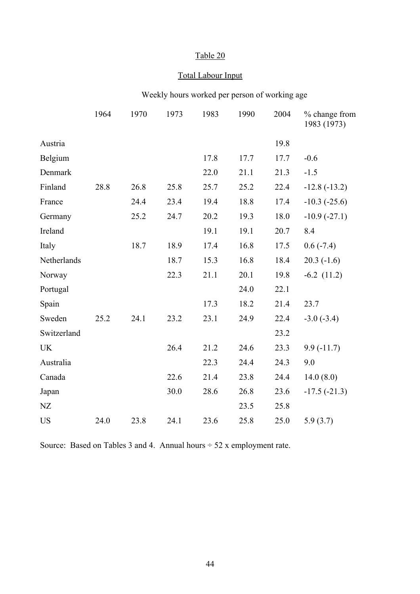# Total Labour Input

# Weekly hours worked per person of working age

|             | 1964 | 1970 | 1973 | 1983 | 1990 | 2004 | % change from<br>1983 (1973) |
|-------------|------|------|------|------|------|------|------------------------------|
| Austria     |      |      |      |      |      | 19.8 |                              |
| Belgium     |      |      |      | 17.8 | 17.7 | 17.7 | $-0.6$                       |
| Denmark     |      |      |      | 22.0 | 21.1 | 21.3 | $-1.5$                       |
| Finland     | 28.8 | 26.8 | 25.8 | 25.7 | 25.2 | 22.4 | $-12.8(-13.2)$               |
| France      |      | 24.4 | 23.4 | 19.4 | 18.8 | 17.4 | $-10.3$ $(-25.6)$            |
| Germany     |      | 25.2 | 24.7 | 20.2 | 19.3 | 18.0 | $-10.9(-27.1)$               |
| Ireland     |      |      |      | 19.1 | 19.1 | 20.7 | 8.4                          |
| Italy       |      | 18.7 | 18.9 | 17.4 | 16.8 | 17.5 | $0.6(-7.4)$                  |
| Netherlands |      |      | 18.7 | 15.3 | 16.8 | 18.4 | $20.3(-1.6)$                 |
| Norway      |      |      | 22.3 | 21.1 | 20.1 | 19.8 | $-6.2$ $(11.2)$              |
| Portugal    |      |      |      |      | 24.0 | 22.1 |                              |
| Spain       |      |      |      | 17.3 | 18.2 | 21.4 | 23.7                         |
| Sweden      | 25.2 | 24.1 | 23.2 | 23.1 | 24.9 | 22.4 | $-3.0(-3.4)$                 |
| Switzerland |      |      |      |      |      | 23.2 |                              |
| <b>UK</b>   |      |      | 26.4 | 21.2 | 24.6 | 23.3 | $9.9(-11.7)$                 |
| Australia   |      |      |      | 22.3 | 24.4 | 24.3 | 9.0                          |
| Canada      |      |      | 22.6 | 21.4 | 23.8 | 24.4 | 14.0(8.0)                    |
| Japan       |      |      | 30.0 | 28.6 | 26.8 | 23.6 | $-17.5(-21.3)$               |
| NZ          |      |      |      |      | 23.5 | 25.8 |                              |
| <b>US</b>   | 24.0 | 23.8 | 24.1 | 23.6 | 25.8 | 25.0 | 5.9(3.7)                     |
|             |      |      |      |      |      |      |                              |

Source: Based on Tables 3 and 4. Annual hours  $\div$  52 x employment rate.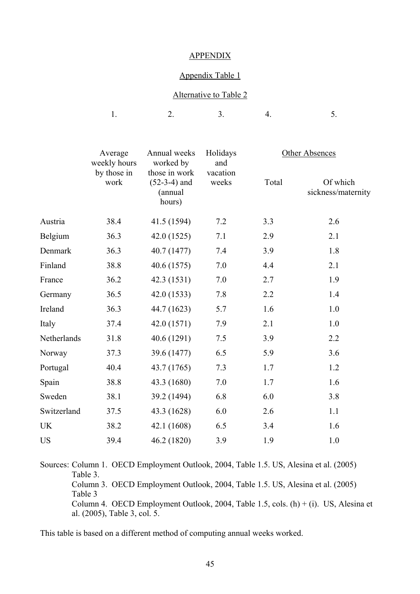#### APPENDIX

#### Appendix Table 1

### Alternative to Table 2

|              |                          |                                                  | $\overline{\phantom{a}}$ |
|--------------|--------------------------|--------------------------------------------------|--------------------------|
|              |                          |                                                  |                          |
| $\mathbf{1}$ | $\overline{\phantom{0}}$ | $\sim$ $\sim$ $\sim$ $\sim$ $\sim$ $\sim$<br>- - |                          |
|              |                          |                                                  |                          |

| Average<br>weekly hours | worked by                                            | Holidays<br>and |          | Other Absences                 |  |
|-------------------------|------------------------------------------------------|-----------------|----------|--------------------------------|--|
| by those in<br>work     | those in work<br>$(52-3-4)$ and<br>(annual<br>hours) | weeks           | Total    | Of which<br>sickness/maternity |  |
| 38.4                    | 41.5 (1594)                                          | 7.2             | 3.3      | 2.6                            |  |
| 36.3                    | 42.0 (1525)                                          | 7.1             | 2.9      | 2.1                            |  |
| 36.3                    | 40.7 (1477)                                          | 7.4             | 3.9      | 1.8                            |  |
| 38.8                    | 40.6 (1575)                                          | 7.0             | 4.4      | 2.1                            |  |
| 36.2                    | 42.3 (1531)                                          | 7.0             | 2.7      | 1.9                            |  |
| 36.5                    | 42.0 (1533)                                          | 7.8             | 2.2      | 1.4                            |  |
| 36.3                    | 44.7 (1623)                                          | 5.7             | 1.6      | 1.0                            |  |
| 37.4                    | 42.0 (1571)                                          | 7.9             | 2.1      | 1.0                            |  |
| 31.8                    | 40.6 (1291)                                          | 7.5             | 3.9      | 2.2                            |  |
| 37.3                    | 39.6 (1477)                                          | 6.5             | 5.9      | 3.6                            |  |
| 40.4                    | 43.7 (1765)                                          | 7.3             | 1.7      | 1.2                            |  |
| 38.8                    | 43.3 (1680)                                          | 7.0             | 1.7      | 1.6                            |  |
| 38.1                    | 39.2 (1494)                                          | 6.8             | 6.0      | 3.8                            |  |
| 37.5                    | 43.3 (1628)                                          | 6.0             | 2.6      | 1.1                            |  |
| 38.2                    | 42.1 (1608)                                          | 6.5             | 3.4      | 1.6                            |  |
| 39.4                    | 46.2 (1820)                                          | 3.9             | 1.9      | 1.0                            |  |
|                         |                                                      | Annual weeks    | vacation |                                |  |

Sources: Column 1. OECD Employment Outlook, 2004, Table 1.5. US, Alesina et al. (2005) Table 3. Column 3. OECD Employment Outlook, 2004, Table 1.5. US, Alesina et al. (2005) Table 3 Column 4. OECD Employment Outlook, 2004, Table 1.5, cols. (h) + (i). US, Alesina et al. (2005), Table 3, col. 5.

This table is based on a different method of computing annual weeks worked.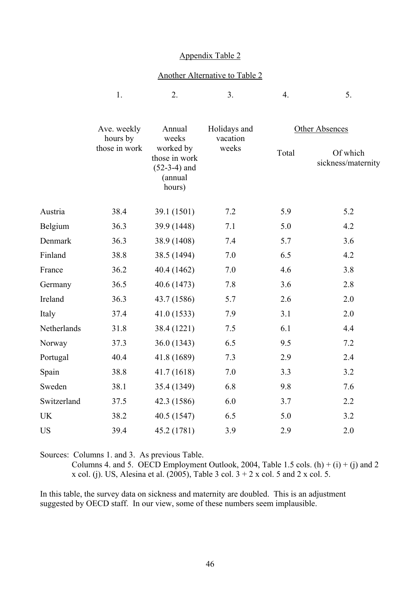#### Appendix Table 2

#### Another Alternative to Table 2

|             | 1.                      | 2.                                                                | 3.                                | 4.             | 5.                             |
|-------------|-------------------------|-------------------------------------------------------------------|-----------------------------------|----------------|--------------------------------|
|             | Ave. weekly<br>hours by | Annual<br>weeks                                                   | Holidays and<br>vacation<br>weeks | Other Absences |                                |
|             | those in work           | worked by<br>those in work<br>$(52-3-4)$ and<br>(annual<br>hours) |                                   | Total          | Of which<br>sickness/maternity |
| Austria     | 38.4                    | 39.1 (1501)                                                       | 7.2                               | 5.9            | 5.2                            |
| Belgium     | 36.3                    | 39.9 (1448)                                                       | 7.1                               | 5.0            | 4.2                            |
| Denmark     | 36.3                    | 38.9 (1408)                                                       | 7.4                               | 5.7            | 3.6                            |
| Finland     | 38.8                    | 38.5 (1494)                                                       | 7.0                               | 6.5            | 4.2                            |
| France      | 36.2                    | 40.4 (1462)                                                       | 7.0                               | 4.6            | 3.8                            |
| Germany     | 36.5                    | 40.6 (1473)                                                       | 7.8                               | 3.6            | 2.8                            |
| Ireland     | 36.3                    | 43.7 (1586)                                                       | 5.7                               | 2.6            | 2.0                            |
| Italy       | 37.4                    | 41.0(1533)                                                        | 7.9                               | 3.1            | 2.0                            |
| Netherlands | 31.8                    | 38.4 (1221)                                                       | $7.5$                             | 6.1            | 4.4                            |
| Norway      | 37.3                    | 36.0 (1343)                                                       | 6.5                               | 9.5            | 7.2                            |
| Portugal    | 40.4                    | 41.8 (1689)                                                       | 7.3                               | 2.9            | 2.4                            |
| Spain       | 38.8                    | 41.7 (1618)                                                       | 7.0                               | 3.3            | 3.2                            |
| Sweden      | 38.1                    | 35.4 (1349)                                                       | 6.8                               | 9.8            | 7.6                            |
| Switzerland | 37.5                    | 42.3 (1586)                                                       | 6.0                               | 3.7            | 2.2                            |
| UK          | 38.2                    | 40.5 (1547)                                                       | 6.5                               | 5.0            | 3.2                            |
| <b>US</b>   | 39.4                    | 45.2 (1781)                                                       | 3.9                               | 2.9            | 2.0                            |

Sources: Columns 1. and 3. As previous Table.

Columns 4. and 5. OECD Employment Outlook, 2004, Table 1.5 cols. (h) + (i) + (j) and 2 x col. (j). US, Alesina et al. (2005), Table 3 col.  $3 + 2x$  col. 5 and 2 x col. 5.

In this table, the survey data on sickness and maternity are doubled. This is an adjustment suggested by OECD staff. In our view, some of these numbers seem implausible.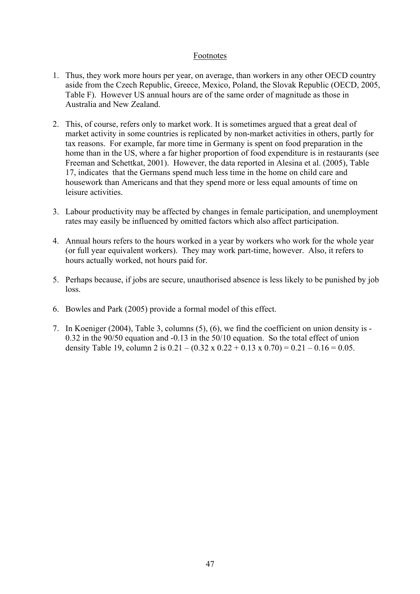### Footnotes

- 1. Thus, they work more hours per year, on average, than workers in any other OECD country aside from the Czech Republic, Greece, Mexico, Poland, the Slovak Republic (OECD, 2005, Table F). However US annual hours are of the same order of magnitude as those in Australia and New Zealand.
- 2. This, of course, refers only to market work. It is sometimes argued that a great deal of market activity in some countries is replicated by non-market activities in others, partly for tax reasons. For example, far more time in Germany is spent on food preparation in the home than in the US, where a far higher proportion of food expenditure is in restaurants (see Freeman and Schettkat, 2001). However, the data reported in Alesina et al. (2005), Table 17, indicates that the Germans spend much less time in the home on child care and housework than Americans and that they spend more or less equal amounts of time on leisure activities.
- 3. Labour productivity may be affected by changes in female participation, and unemployment rates may easily be influenced by omitted factors which also affect participation.
- 4. Annual hours refers to the hours worked in a year by workers who work for the whole year (or full year equivalent workers). They may work part-time, however. Also, it refers to hours actually worked, not hours paid for.
- 5. Perhaps because, if jobs are secure, unauthorised absence is less likely to be punished by job loss.
- 6. Bowles and Park (2005) provide a formal model of this effect.
- 7. In Koeniger (2004), Table 3, columns (5), (6), we find the coefficient on union density is 0.32 in the 90/50 equation and -0.13 in the 50/10 equation. So the total effect of union density Table 19, column 2 is  $0.21 - (0.32 \times 0.22 + 0.13 \times 0.70) = 0.21 - 0.16 = 0.05$ .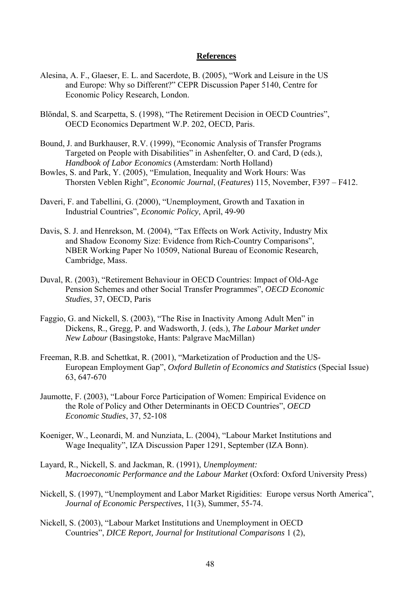#### **References**

- Alesina, A. F., Glaeser, E. L. and Sacerdote, B. (2005), "Work and Leisure in the US and Europe: Why so Different?" CEPR Discussion Paper 5140, Centre for Economic Policy Research, London.
- Blöndal, S. and Scarpetta, S. (1998), "The Retirement Decision in OECD Countries", OECD Economics Department W.P. 202, OECD, Paris.
- Bound, J. and Burkhauser, R.V. (1999), "Economic Analysis of Transfer Programs Targeted on People with Disabilities" in Ashenfelter, O. and Card, D (eds.), *Handbook of Labor Economics* (Amsterdam: North Holland)
- Bowles, S. and Park, Y. (2005), "Emulation, Inequality and Work Hours: Was Thorsten Veblen Right", *Economic Journal*, (*Features*) 115, November, F397 – F412.
- Daveri, F. and Tabellini, G. (2000), "Unemployment, Growth and Taxation in Industrial Countries", *Economic Policy*, April, 49-90
- Davis, S. J. and Henrekson, M. (2004), "Tax Effects on Work Activity, Industry Mix and Shadow Economy Size: Evidence from Rich-Country Comparisons", NBER Working Paper No 10509, National Bureau of Economic Research, Cambridge, Mass.
- Duval, R. (2003), "Retirement Behaviour in OECD Countries: Impact of Old-Age Pension Schemes and other Social Transfer Programmes", *OECD Economic Studies*, 37, OECD, Paris
- Faggio, G. and Nickell, S. (2003), "The Rise in Inactivity Among Adult Men" in Dickens, R., Gregg, P. and Wadsworth, J. (eds.), *The Labour Market under New Labour* (Basingstoke, Hants: Palgrave MacMillan)
- Freeman, R.B. and Schettkat, R. (2001), "Marketization of Production and the US-European Employment Gap", *Oxford Bulletin of Economics and Statistics* (Special Issue) 63, 647-670
- Jaumotte, F. (2003), "Labour Force Participation of Women: Empirical Evidence on the Role of Policy and Other Determinants in OECD Countries", *OECD Economic Studies*, 37, 52-108
- Koeniger, W., Leonardi, M. and Nunziata, L. (2004), "Labour Market Institutions and Wage Inequality", IZA Discussion Paper 1291, September (IZA Bonn).
- Layard, R., Nickell, S. and Jackman, R. (1991), *Unemployment: Macroeconomic Performance and the Labour Market* (Oxford: Oxford University Press)
- Nickell, S. (1997), "Unemployment and Labor Market Rigidities: Europe versus North America", *Journal of Economic Perspectives*, 11(3), Summer, 55-74.
- Nickell, S. (2003), "Labour Market Institutions and Unemployment in OECD Countries", *DICE Report, Journal for Institutional Comparisons* 1 (2),